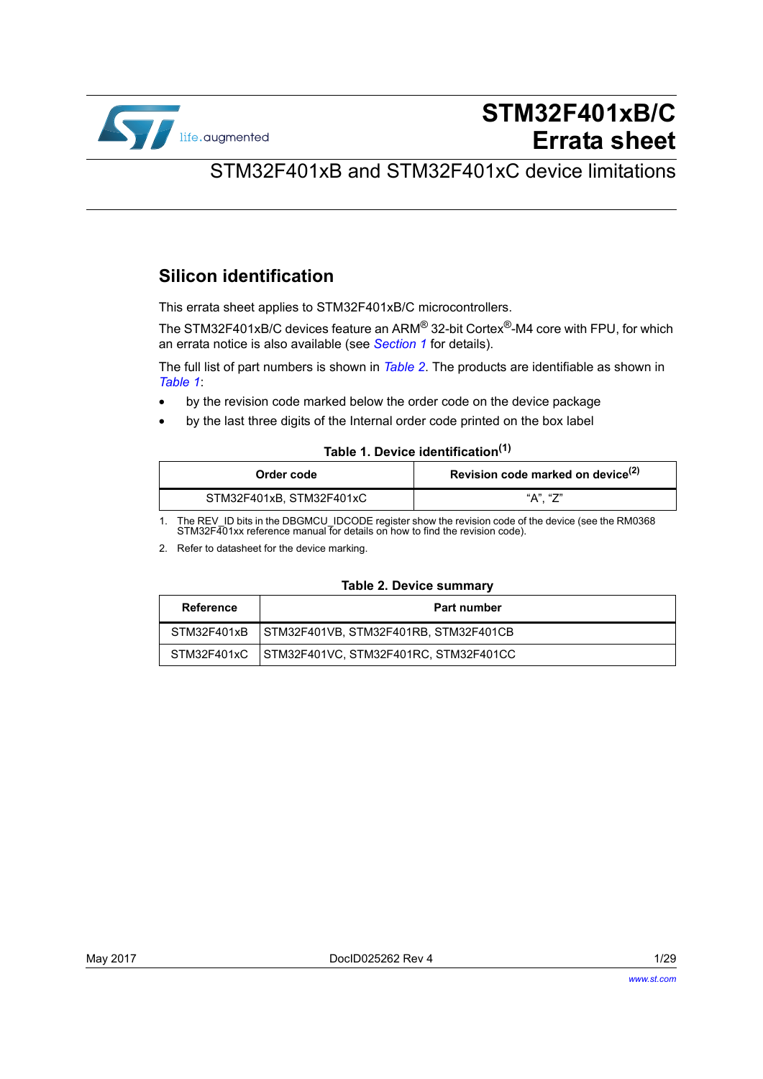

# **STM32F401xB/C Errata sheet**

# STM32F401xB and STM32F401xC device limitations

# **Silicon identification**

This errata sheet applies to STM32F401xB/C microcontrollers.

The STM32F401xB/C devices feature an ARM® 32-bit Cortex®-M4 core with FPU, for which an errata notice is also available (see *[Section 1](#page-5-0)* for details).

The full list of part numbers is shown in *[Table 2](#page-0-0)*. The products are identifiable as shown in *[Table 1](#page-0-1)*:

- by the revision code marked below the order code on the device package
- by the last three digits of the Internal order code printed on the box label

#### <span id="page-0-2"></span>**Table 1. Device identification(1)**

<span id="page-0-1"></span>

| Order code               | Revision code marked on device <sup>(2)</sup> |
|--------------------------|-----------------------------------------------|
| STM32F401xB, STM32F401xC | "A". "Z"                                      |

1. The REV\_ID bits in the DBGMCU\_IDCODE register show the revision code of the device (see the RM0368 STM32F401xx reference manual for details on how to find the revision code).

2. Refer to datasheet for the device marking.

#### **Table 2. Device summary**

<span id="page-0-0"></span>

| Reference | <b>Part number</b>                                  |
|-----------|-----------------------------------------------------|
|           | STM32F401xB   STM32F401VB, STM32F401RB, STM32F401CB |
|           | STM32F401xC   STM32F401VC, STM32F401RC, STM32F401CC |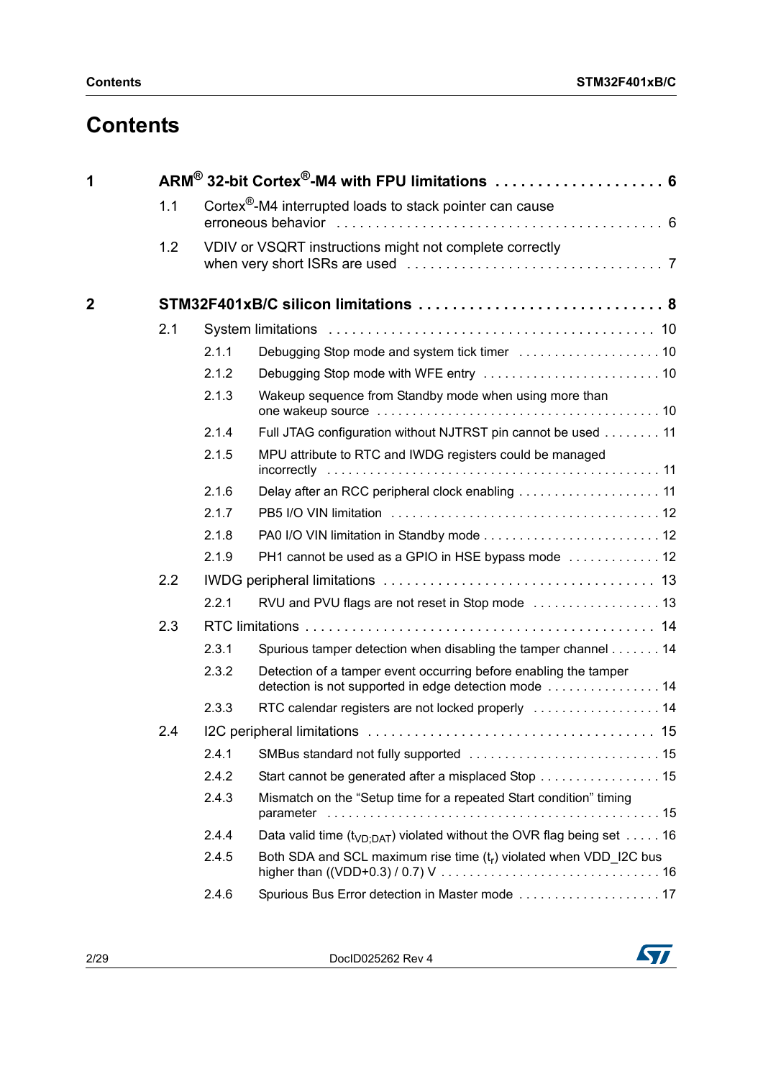# **Contents**

| 1            |     |       | ARM <sup>®</sup> 32-bit Cortex <sup>®</sup> -M4 with FPU limitations  6                                                   |
|--------------|-----|-------|---------------------------------------------------------------------------------------------------------------------------|
|              | 1.1 |       | Cortex $\mathbb{S}$ -M4 interrupted loads to stack pointer can cause                                                      |
|              | 1.2 |       | VDIV or VSQRT instructions might not complete correctly                                                                   |
|              |     |       |                                                                                                                           |
| $\mathbf{2}$ |     |       |                                                                                                                           |
|              | 2.1 |       |                                                                                                                           |
|              |     | 2.1.1 |                                                                                                                           |
|              |     | 2.1.2 |                                                                                                                           |
|              |     | 2.1.3 | Wakeup sequence from Standby mode when using more than                                                                    |
|              |     | 2.1.4 | Full JTAG configuration without NJTRST pin cannot be used 11                                                              |
|              |     | 2.1.5 | MPU attribute to RTC and IWDG registers could be managed                                                                  |
|              |     | 2.1.6 |                                                                                                                           |
|              |     | 2.1.7 |                                                                                                                           |
|              |     | 2.1.8 |                                                                                                                           |
|              |     | 2.1.9 | PH1 cannot be used as a GPIO in HSE bypass mode  12                                                                       |
|              | 2.2 |       |                                                                                                                           |
|              |     | 2.2.1 |                                                                                                                           |
|              | 2.3 |       |                                                                                                                           |
|              |     | 2.3.1 | Spurious tamper detection when disabling the tamper channel 14                                                            |
|              |     | 2.3.2 | Detection of a tamper event occurring before enabling the tamper<br>detection is not supported in edge detection mode  14 |
|              |     | 2.3.3 | RTC calendar registers are not locked properly  14                                                                        |
|              | 2.4 |       |                                                                                                                           |
|              |     | 2.4.1 |                                                                                                                           |
|              |     | 2.4.2 | Start cannot be generated after a misplaced Stop  15                                                                      |
|              |     | 2.4.3 | Mismatch on the "Setup time for a repeated Start condition" timing                                                        |
|              |     | 2.4.4 | Data valid time ( $t_{VD:DAT}$ ) violated without the OVR flag being set 16                                               |
|              |     | 2.4.5 | Both SDA and SCL maximum rise time $(t_r)$ violated when VDD_I2C bus                                                      |
|              |     | 2.4.6 |                                                                                                                           |

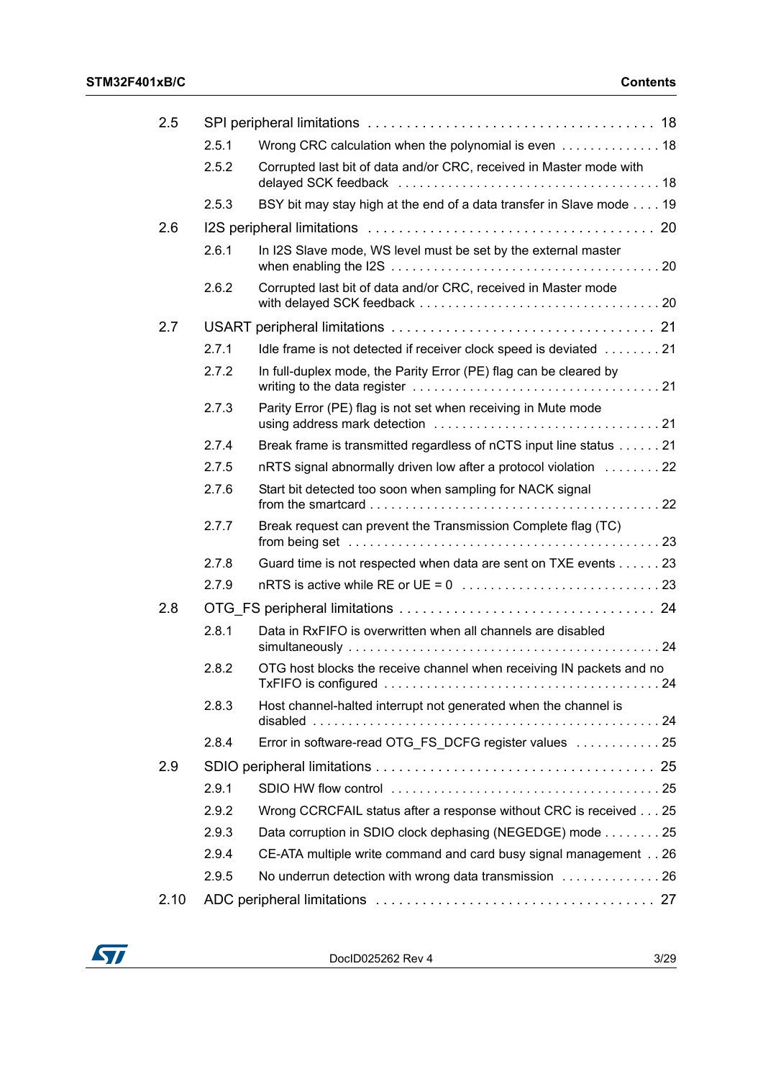| 2.5  |       |                                                                                                                                                             |  |
|------|-------|-------------------------------------------------------------------------------------------------------------------------------------------------------------|--|
|      | 2.5.1 | Wrong CRC calculation when the polynomial is even 18                                                                                                        |  |
|      | 2.5.2 | Corrupted last bit of data and/or CRC, received in Master mode with                                                                                         |  |
|      | 2.5.3 | BSY bit may stay high at the end of a data transfer in Slave mode 19                                                                                        |  |
| 2.6  |       |                                                                                                                                                             |  |
|      | 2.6.1 | In I2S Slave mode, WS level must be set by the external master<br>when enabling the I2S $\dots\dots\dots\dots\dots\dots\dots\dots\dots\dots\dots\dots\dots$ |  |
|      | 2.6.2 | Corrupted last bit of data and/or CRC, received in Master mode                                                                                              |  |
| 2.7  |       |                                                                                                                                                             |  |
|      | 2.7.1 | Idle frame is not detected if receiver clock speed is deviated  21                                                                                          |  |
|      | 2.7.2 | In full-duplex mode, the Parity Error (PE) flag can be cleared by                                                                                           |  |
|      | 2.7.3 | Parity Error (PE) flag is not set when receiving in Mute mode                                                                                               |  |
|      | 2.7.4 | Break frame is transmitted regardless of nCTS input line status 21                                                                                          |  |
|      | 2.7.5 | nRTS signal abnormally driven low after a protocol violation 22                                                                                             |  |
|      | 2.7.6 | Start bit detected too soon when sampling for NACK signal                                                                                                   |  |
|      | 2.7.7 | Break request can prevent the Transmission Complete flag (TC)                                                                                               |  |
|      | 2.7.8 | Guard time is not respected when data are sent on TXE events 23                                                                                             |  |
|      | 2.7.9 | $nRTS$ is active while RE or UE = 0 $\ldots \ldots \ldots \ldots \ldots \ldots \ldots \ldots 23$                                                            |  |
| 2.8  |       |                                                                                                                                                             |  |
|      | 2.8.1 | Data in RxFIFO is overwritten when all channels are disabled                                                                                                |  |
|      | 2.8.2 | OTG host blocks the receive channel when receiving IN packets and no<br>TxFIFO is configured                                                                |  |
|      | 2.8.3 | Host channel-halted interrupt not generated when the channel is                                                                                             |  |
|      | 2.8.4 | Error in software-read OTG FS DCFG register values  25                                                                                                      |  |
| 2.9  |       |                                                                                                                                                             |  |
|      | 2.9.1 |                                                                                                                                                             |  |
|      | 2.9.2 | Wrong CCRCFAIL status after a response without CRC is received 25                                                                                           |  |
|      | 2.9.3 | Data corruption in SDIO clock dephasing (NEGEDGE) mode 25                                                                                                   |  |
|      | 2.9.4 | CE-ATA multiple write command and card busy signal management 26                                                                                            |  |
|      | 2.9.5 | No underrun detection with wrong data transmission  26                                                                                                      |  |
| 2.10 |       |                                                                                                                                                             |  |

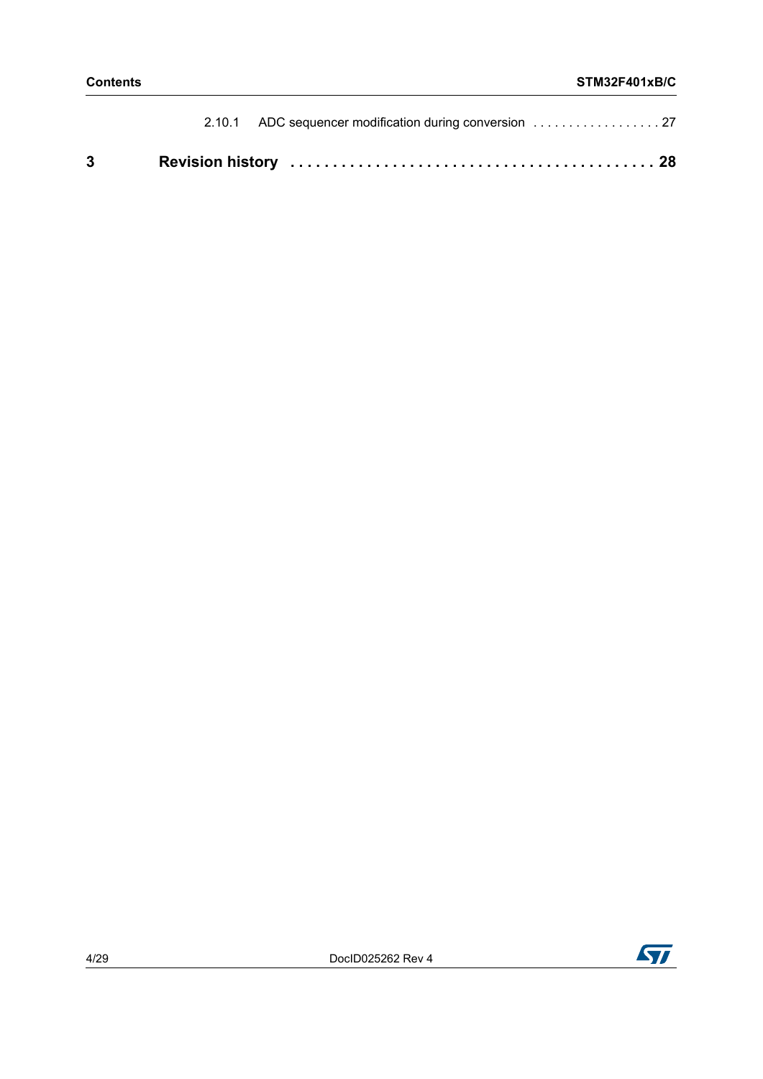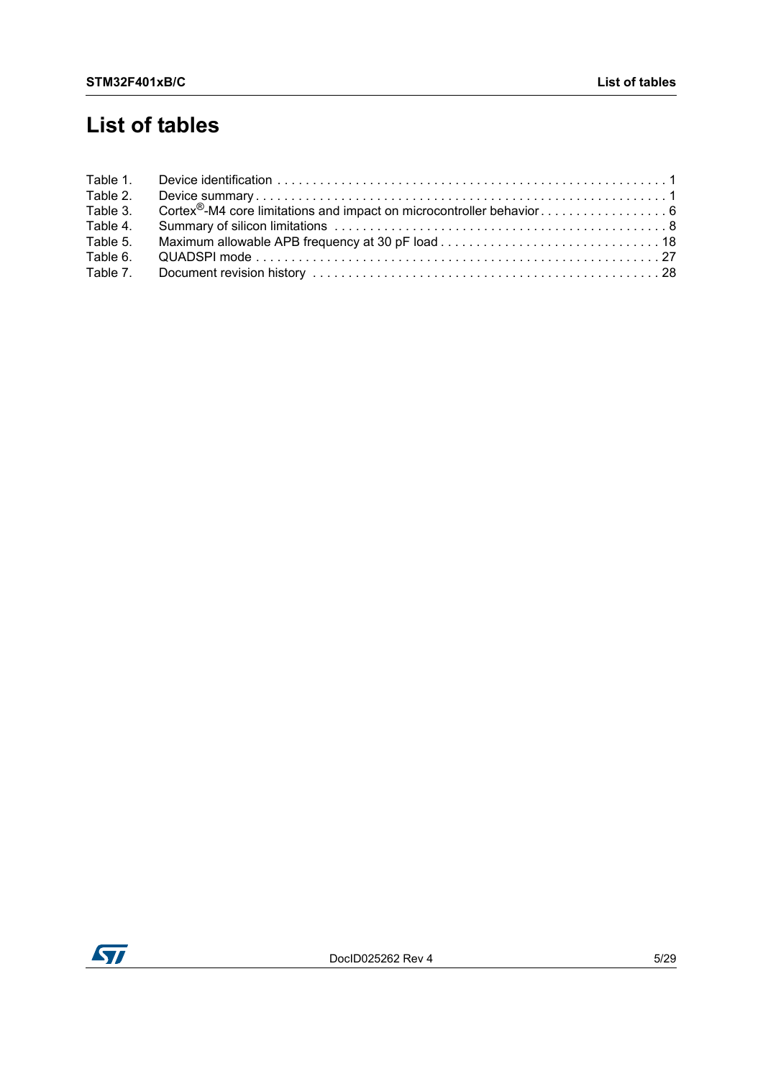# **List of tables**

| Table 1. |  |
|----------|--|
| Table 2. |  |
| Table 3. |  |
| Table 4. |  |
| Table 5. |  |
| Table 6. |  |
| Table 7. |  |

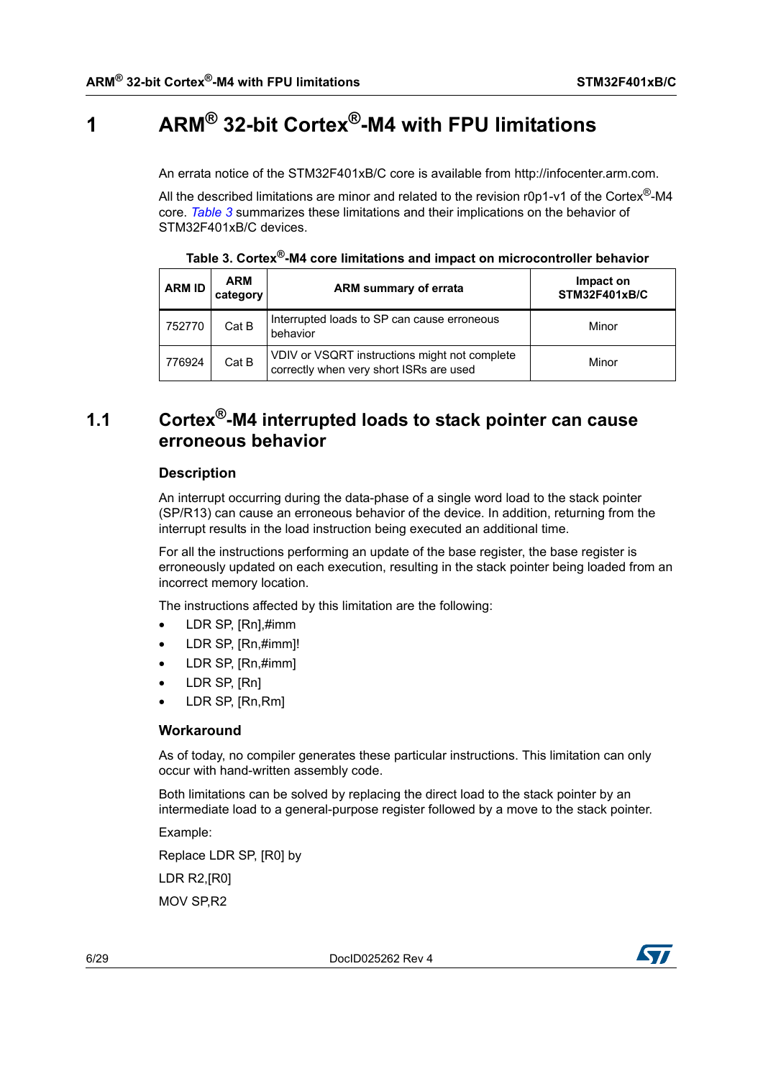# <span id="page-5-1"></span>**1 ARM® 32-bit Cortex®-M4 with FPU limitations**

<span id="page-5-0"></span>An errata notice of the STM32F401xB/C core is available from http://infocenter.arm.com.

All the described limitations are minor and related to the revision r0p1-v1 of the Cortex<sup>®</sup>-M4 core. *[Table 3](#page-5-3)* summarizes these limitations and their implications on the behavior of STM32F401xB/C devices.

<span id="page-5-3"></span>

| <b>ARM ID</b> | <b>ARM</b><br>category | ARM summary of errata                                                                    | Impact on<br><b>STM32F401xB/C</b> |
|---------------|------------------------|------------------------------------------------------------------------------------------|-----------------------------------|
| 752770        | Cat B                  | Interrupted loads to SP can cause erroneous<br>behavior                                  | Minor                             |
| 776924        | Cat B                  | VDIV or VSQRT instructions might not complete<br>correctly when very short ISRs are used | Minor                             |

**Table 3. Cortex®-M4 core limitations and impact on microcontroller behavior**

# <span id="page-5-2"></span>**1.1 Cortex®-M4 interrupted loads to stack pointer can cause erroneous behavior**

#### **Description**

An interrupt occurring during the data-phase of a single word load to the stack pointer (SP/R13) can cause an erroneous behavior of the device. In addition, returning from the interrupt results in the load instruction being executed an additional time.

For all the instructions performing an update of the base register, the base register is erroneously updated on each execution, resulting in the stack pointer being loaded from an incorrect memory location.

The instructions affected by this limitation are the following:

- LDR SP, [Rn],#imm
- LDR SP, [Rn,#imm]!
- LDR SP, [Rn,#imm]
- LDR SP, [Rn]
- LDR SP, [Rn,Rm]

#### **Workaround**

As of today, no compiler generates these particular instructions. This limitation can only occur with hand-written assembly code.

Both limitations can be solved by replacing the direct load to the stack pointer by an intermediate load to a general-purpose register followed by a move to the stack pointer.

Example:

Replace LDR SP, [R0] by LDR R2,[R0] MOV SP,R2

6/[29](#page-28-0) DocID025262 Rev 4

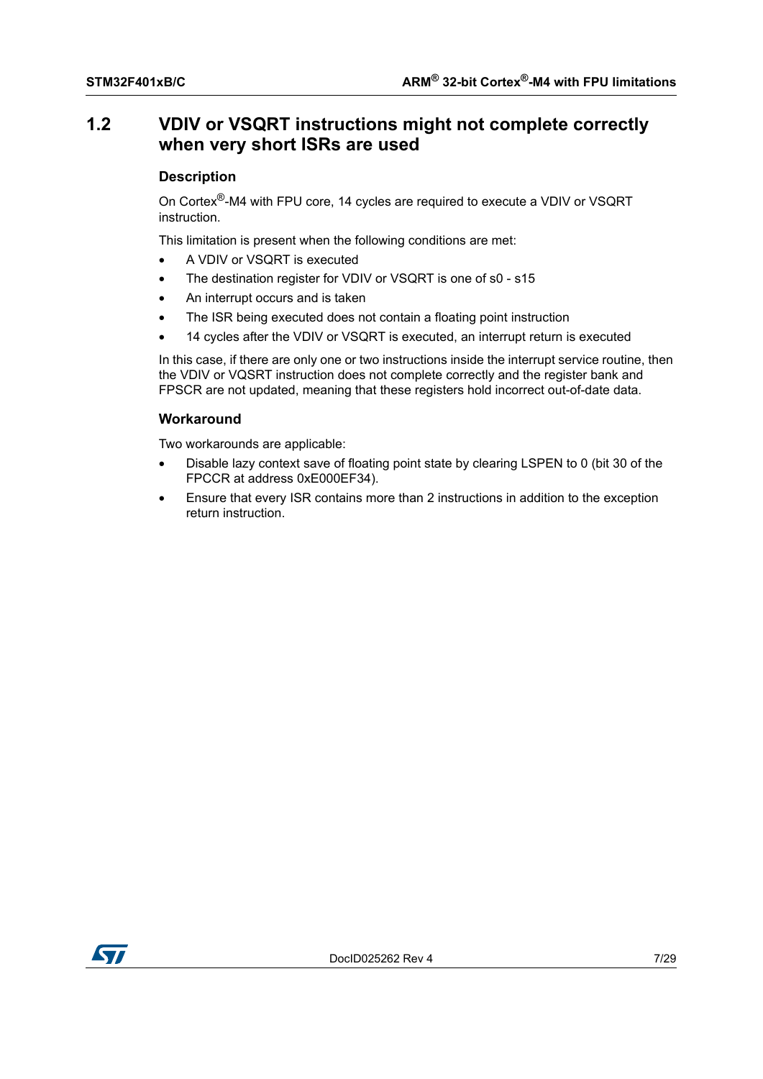# <span id="page-6-0"></span>**1.2 VDIV or VSQRT instructions might not complete correctly when very short ISRs are used**

#### **Description**

On Cortex®-M4 with FPU core, 14 cycles are required to execute a VDIV or VSQRT instruction.

This limitation is present when the following conditions are met:

- A VDIV or VSQRT is executed
- The destination register for VDIV or VSQRT is one of s0 s15
- An interrupt occurs and is taken
- The ISR being executed does not contain a floating point instruction
- 14 cycles after the VDIV or VSQRT is executed, an interrupt return is executed

In this case, if there are only one or two instructions inside the interrupt service routine, then the VDIV or VQSRT instruction does not complete correctly and the register bank and FPSCR are not updated, meaning that these registers hold incorrect out-of-date data.

#### **Workaround**

Two workarounds are applicable:

- Disable lazy context save of floating point state by clearing LSPEN to 0 (bit 30 of the FPCCR at address 0xE000EF34).
- Ensure that every ISR contains more than 2 instructions in addition to the exception return instruction.

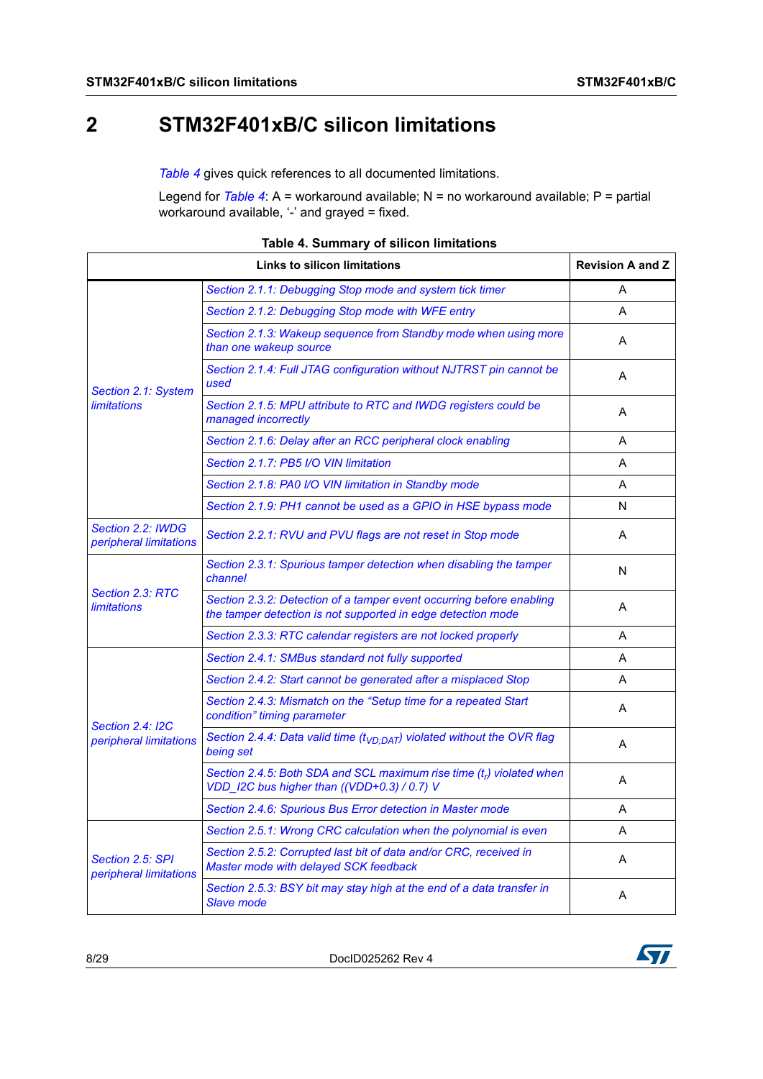# <span id="page-7-0"></span>**2 STM32F401xB/C silicon limitations**

*[Table 4](#page-7-1)* gives quick references to all documented limitations.

Legend for *[Table 4](#page-7-1)*: A = workaround available; N = no workaround available; P = partial workaround available, '-' and grayed = fixed.

<span id="page-7-1"></span>

|                                                   | <b>Revision A and Z</b>                                                                                                              |   |
|---------------------------------------------------|--------------------------------------------------------------------------------------------------------------------------------------|---|
|                                                   | Section 2.1.1: Debugging Stop mode and system tick timer                                                                             | A |
|                                                   | Section 2.1.2: Debugging Stop mode with WFE entry                                                                                    | A |
|                                                   | Section 2.1.3: Wakeup sequence from Standby mode when using more<br>than one wakeup source                                           | A |
| Section 2.1: System                               | Section 2.1.4: Full JTAG configuration without NJTRST pin cannot be<br>used                                                          | A |
| <b>limitations</b>                                | Section 2.1.5: MPU attribute to RTC and IWDG registers could be<br>managed incorrectly                                               | A |
|                                                   | Section 2.1.6: Delay after an RCC peripheral clock enabling                                                                          | A |
|                                                   | Section 2.1.7: PB5 I/O VIN limitation                                                                                                | A |
|                                                   | Section 2.1.8: PA0 I/O VIN limitation in Standby mode                                                                                | A |
|                                                   | Section 2.1.9: PH1 cannot be used as a GPIO in HSE bypass mode                                                                       | N |
| Section 2.2: IWDG<br>peripheral limitations       | Section 2.2.1: RVU and PVU flags are not reset in Stop mode                                                                          | A |
|                                                   | Section 2.3.1: Spurious tamper detection when disabling the tamper<br>channel                                                        | N |
| Section 2.3: RTC<br><b>limitations</b>            | Section 2.3.2: Detection of a tamper event occurring before enabling<br>the tamper detection is not supported in edge detection mode | A |
|                                                   | Section 2.3.3: RTC calendar registers are not locked properly                                                                        | A |
|                                                   | Section 2.4.1: SMBus standard not fully supported                                                                                    | A |
|                                                   | Section 2.4.2: Start cannot be generated after a misplaced Stop                                                                      | A |
|                                                   | Section 2.4.3: Mismatch on the "Setup time for a repeated Start<br>condition" timing parameter                                       | A |
| <b>Section 2.4: I2C</b><br>peripheral limitations | Section 2.4.4: Data valid time $(t_{VD:DAT})$ violated without the OVR flag<br>being set                                             | A |
|                                                   | Section 2.4.5: Both SDA and SCL maximum rise time (t <sub>r</sub> ) violated when<br>VDD_I2C bus higher than ((VDD+0.3) / 0.7) V     | A |
|                                                   | Section 2.4.6: Spurious Bus Error detection in Master mode                                                                           | A |
|                                                   | Section 2.5.1: Wrong CRC calculation when the polynomial is even                                                                     | A |
| Section 2.5: SPI<br>peripheral limitations        | Section 2.5.2: Corrupted last bit of data and/or CRC, received in<br>Master mode with delayed SCK feedback                           | Α |
|                                                   | Section 2.5.3: BSY bit may stay high at the end of a data transfer in<br>Slave mode                                                  | A |

#### **Table 4. Summary of silicon limitations**



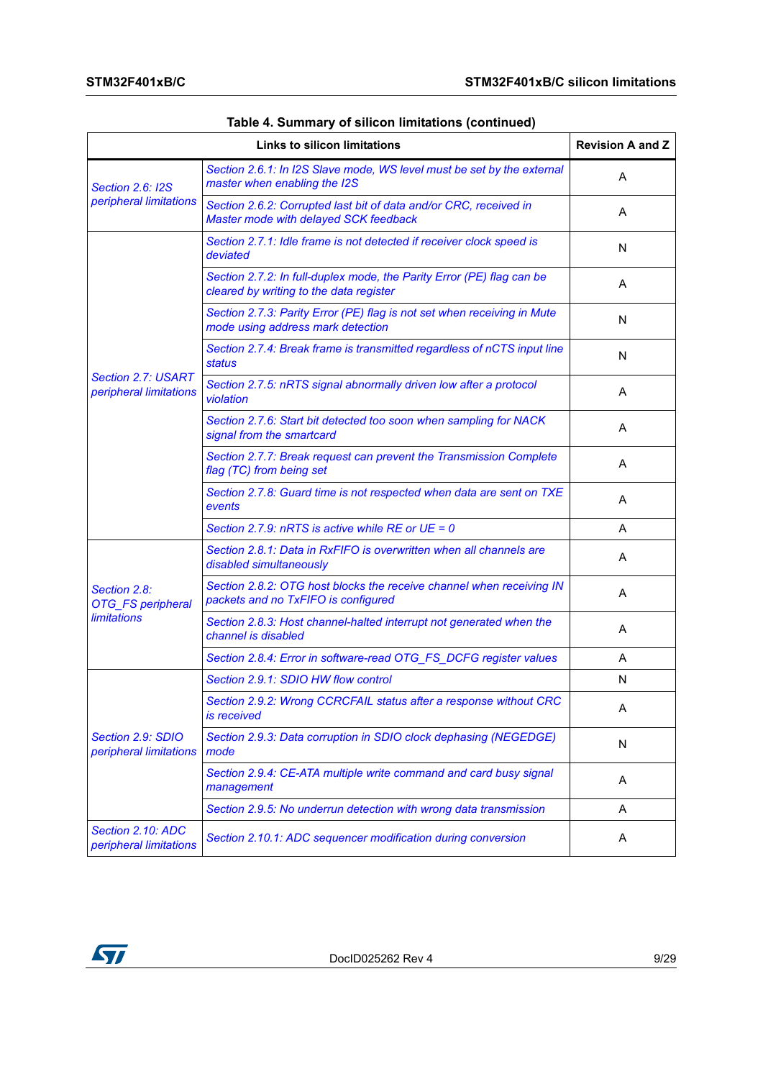|                                              | <b>Revision A and Z</b>                                                                                          |   |
|----------------------------------------------|------------------------------------------------------------------------------------------------------------------|---|
| <b>Section 2.6: I2S</b>                      | Section 2.6.1: In I2S Slave mode, WS level must be set by the external<br>master when enabling the I2S           | A |
| peripheral limitations                       | Section 2.6.2: Corrupted last bit of data and/or CRC, received in<br>Master mode with delayed SCK feedback       | A |
|                                              | Section 2.7.1: Idle frame is not detected if receiver clock speed is<br>deviated                                 | N |
|                                              | Section 2.7.2: In full-duplex mode, the Parity Error (PE) flag can be<br>cleared by writing to the data register | Α |
|                                              | Section 2.7.3: Parity Error (PE) flag is not set when receiving in Mute<br>mode using address mark detection     | N |
|                                              | Section 2.7.4: Break frame is transmitted regardless of nCTS input line<br>status                                | N |
| Section 2.7: USART<br>peripheral limitations | Section 2.7.5: nRTS signal abnormally driven low after a protocol<br>violation                                   | A |
|                                              | Section 2.7.6: Start bit detected too soon when sampling for NACK<br>signal from the smartcard                   | A |
|                                              | Section 2.7.7: Break request can prevent the Transmission Complete<br>flag (TC) from being set                   | A |
|                                              | Section 2.7.8: Guard time is not respected when data are sent on TXE<br>events                                   | Α |
|                                              | Section 2.7.9: $nRTS$ is active while RE or UE = 0                                                               | A |
|                                              | Section 2.8.1: Data in RxFIFO is overwritten when all channels are<br>disabled simultaneously                    | A |
| Section 2.8:<br><b>OTG_FS</b> peripheral     | Section 2.8.2: OTG host blocks the receive channel when receiving IN<br>packets and no TxFIFO is configured      | A |
| limitations                                  | Section 2.8.3: Host channel-halted interrupt not generated when the<br>channel is disabled                       | A |
|                                              | Section 2.8.4: Error in software-read OTG_FS_DCFG register values                                                | A |
|                                              | Section 2.9.1: SDIO HW flow control                                                                              | N |
| Section 2.9: SDIO<br>peripheral limitations  | Section 2.9.2: Wrong CCRCFAIL status after a response without CRC<br>is received                                 | A |
|                                              | Section 2.9.3: Data corruption in SDIO clock dephasing (NEGEDGE)<br>mode                                         | N |
|                                              | Section 2.9.4: CE-ATA multiple write command and card busy signal<br>management                                  | Α |
|                                              | Section 2.9.5: No underrun detection with wrong data transmission                                                | Α |
| Section 2.10: ADC<br>peripheral limitations  | Section 2.10.1: ADC sequencer modification during conversion                                                     | A |

|  | Table 4. Summary of silicon limitations (continued) |  |
|--|-----------------------------------------------------|--|
|--|-----------------------------------------------------|--|

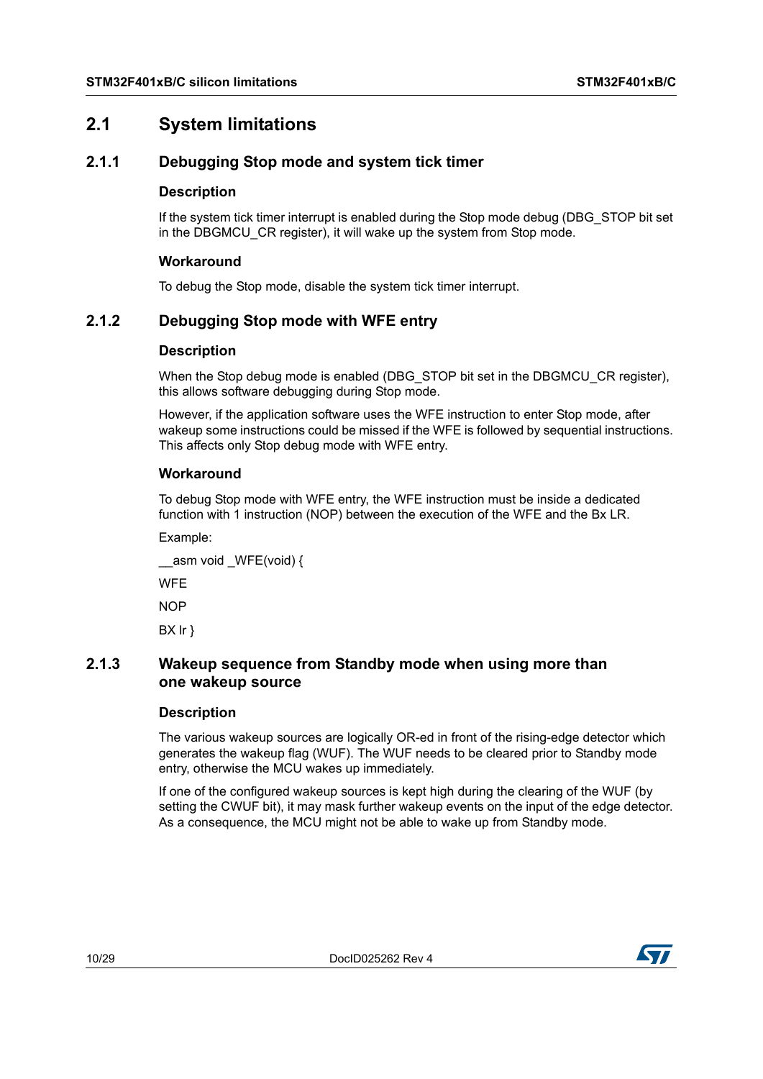# <span id="page-9-0"></span>**2.1 System limitations**

# <span id="page-9-1"></span>**2.1.1 Debugging Stop mode and system tick timer**

#### **Description**

If the system tick timer interrupt is enabled during the Stop mode debug (DBG\_STOP bit set in the DBGMCU CR register), it will wake up the system from Stop mode.

#### **Workaround**

To debug the Stop mode, disable the system tick timer interrupt.

# <span id="page-9-2"></span>**2.1.2 Debugging Stop mode with WFE entry**

#### **Description**

When the Stop debug mode is enabled (DBG STOP bit set in the DBGMCU CR register), this allows software debugging during Stop mode.

However, if the application software uses the WFE instruction to enter Stop mode, after wakeup some instructions could be missed if the WFE is followed by sequential instructions. This affects only Stop debug mode with WFE entry.

#### **Workaround**

To debug Stop mode with WFE entry, the WFE instruction must be inside a dedicated function with 1 instruction (NOP) between the execution of the WFE and the Bx LR.

Example:

\_asm void WFE(void) {

**WFF** 

**NOP** 

BX lr }

### <span id="page-9-3"></span>**2.1.3 Wakeup sequence from Standby mode when using more than one wakeup source**

#### **Description**

The various wakeup sources are logically OR-ed in front of the rising-edge detector which generates the wakeup flag (WUF). The WUF needs to be cleared prior to Standby mode entry, otherwise the MCU wakes up immediately.

If one of the configured wakeup sources is kept high during the clearing of the WUF (by setting the CWUF bit), it may mask further wakeup events on the input of the edge detector. As a consequence, the MCU might not be able to wake up from Standby mode.

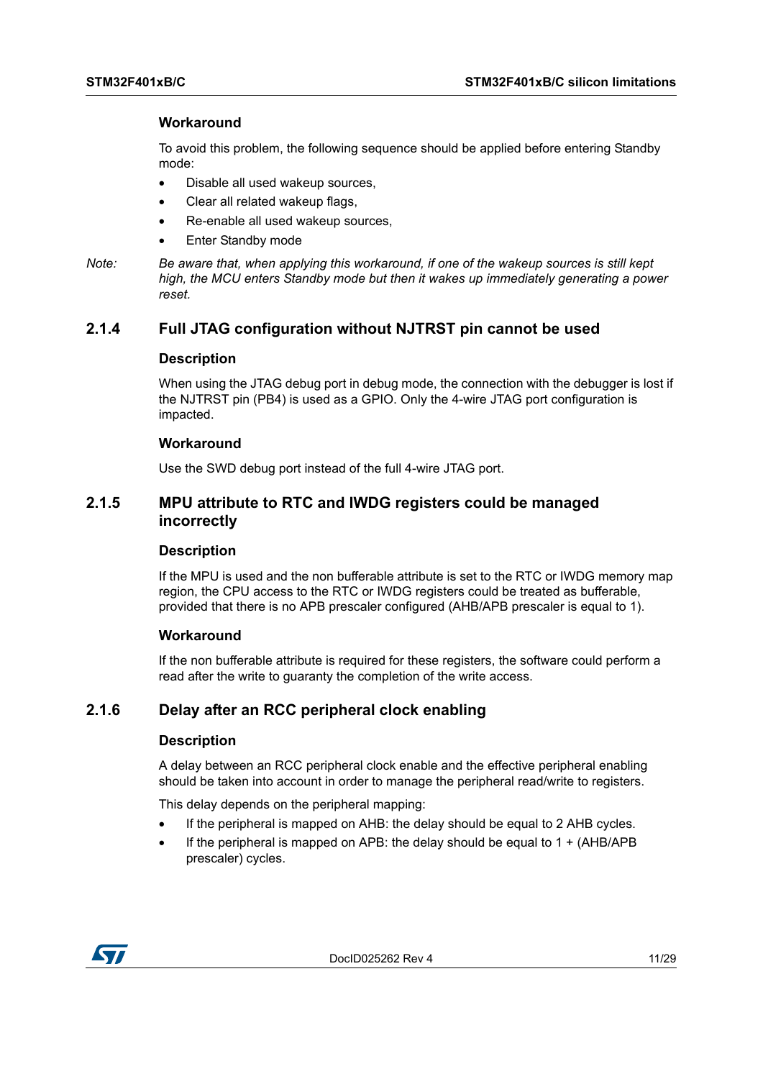#### **Workaround**

To avoid this problem, the following sequence should be applied before entering Standby mode:

- Disable all used wakeup sources,
- Clear all related wakeup flags,
- Re-enable all used wakeup sources,
- **Enter Standby mode**

*Note: Be aware that, when applying this workaround, if one of the wakeup sources is still kept high, the MCU enters Standby mode but then it wakes up immediately generating a power reset.*

# <span id="page-10-0"></span>**2.1.4 Full JTAG configuration without NJTRST pin cannot be used**

#### **Description**

When using the JTAG debug port in debug mode, the connection with the debugger is lost if the NJTRST pin (PB4) is used as a GPIO. Only the 4-wire JTAG port configuration is impacted.

#### **Workaround**

Use the SWD debug port instead of the full 4-wire JTAG port.

### <span id="page-10-1"></span>**2.1.5 MPU attribute to RTC and IWDG registers could be managed incorrectly**

#### **Description**

If the MPU is used and the non bufferable attribute is set to the RTC or IWDG memory map region, the CPU access to the RTC or IWDG registers could be treated as bufferable, provided that there is no APB prescaler configured (AHB/APB prescaler is equal to 1).

#### **Workaround**

If the non bufferable attribute is required for these registers, the software could perform a read after the write to guaranty the completion of the write access.

## <span id="page-10-2"></span>**2.1.6 Delay after an RCC peripheral clock enabling**

#### **Description**

A delay between an RCC peripheral clock enable and the effective peripheral enabling should be taken into account in order to manage the peripheral read/write to registers.

This delay depends on the peripheral mapping:

- If the peripheral is mapped on AHB: the delay should be equal to 2 AHB cycles.
- If the peripheral is mapped on APB: the delay should be equal to  $1 + (AHB/APB)$ prescaler) cycles.

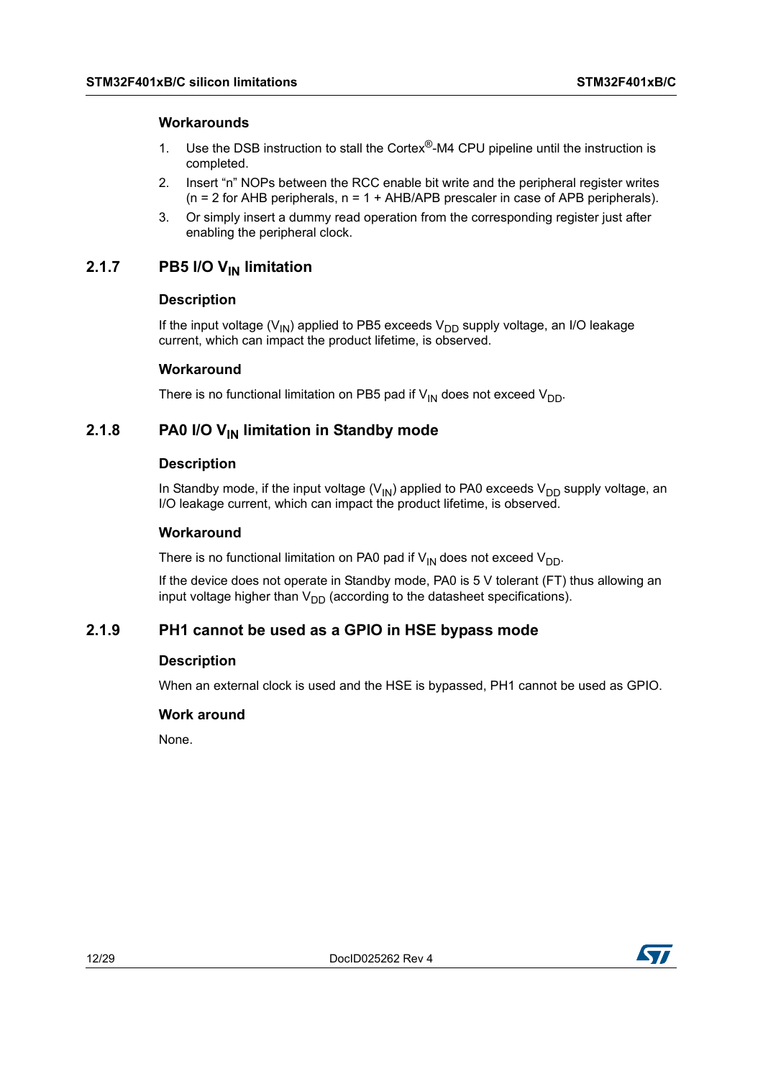#### **Workarounds**

- 1. Use the DSB instruction to stall the Cortex<sup>®</sup>-M4 CPU pipeline until the instruction is completed.
- 2. Insert "n" NOPs between the RCC enable bit write and the peripheral register writes  $(n = 2$  for AHB peripherals,  $n = 1 + AHB/APB$  prescaler in case of APB peripherals).
- 3. Or simply insert a dummy read operation from the corresponding register just after enabling the peripheral clock.

# <span id="page-11-0"></span>2.1.7 PB5 I/O V<sub>IN</sub> limitation

#### **Description**

If the input voltage ( $V_{IN}$ ) applied to PB5 exceeds  $V_{DD}$  supply voltage, an I/O leakage current, which can impact the product lifetime, is observed.

#### **Workaround**

There is no functional limitation on PB5 pad if  $V_{IN}$  does not exceed  $V_{DD}$ .

# <span id="page-11-1"></span>**2.1.8** PA0 I/O V<sub>IN</sub> limitation in Standby mode

#### **Description**

In Standby mode, if the input voltage ( $V_{\text{IN}}$ ) applied to PA0 exceeds  $V_{\text{DD}}$  supply voltage, an I/O leakage current, which can impact the product lifetime, is observed.

#### **Workaround**

There is no functional limitation on PA0 pad if  $V_{IN}$  does not exceed  $V_{DD}$ .

If the device does not operate in Standby mode, PA0 is 5 V tolerant (FT) thus allowing an input voltage higher than  $V_{DD}$  (according to the datasheet specifications).

### <span id="page-11-2"></span>**2.1.9 PH1 cannot be used as a GPIO in HSE bypass mode**

#### **Description**

When an external clock is used and the HSE is bypassed, PH1 cannot be used as GPIO.

#### **Work around**

None.

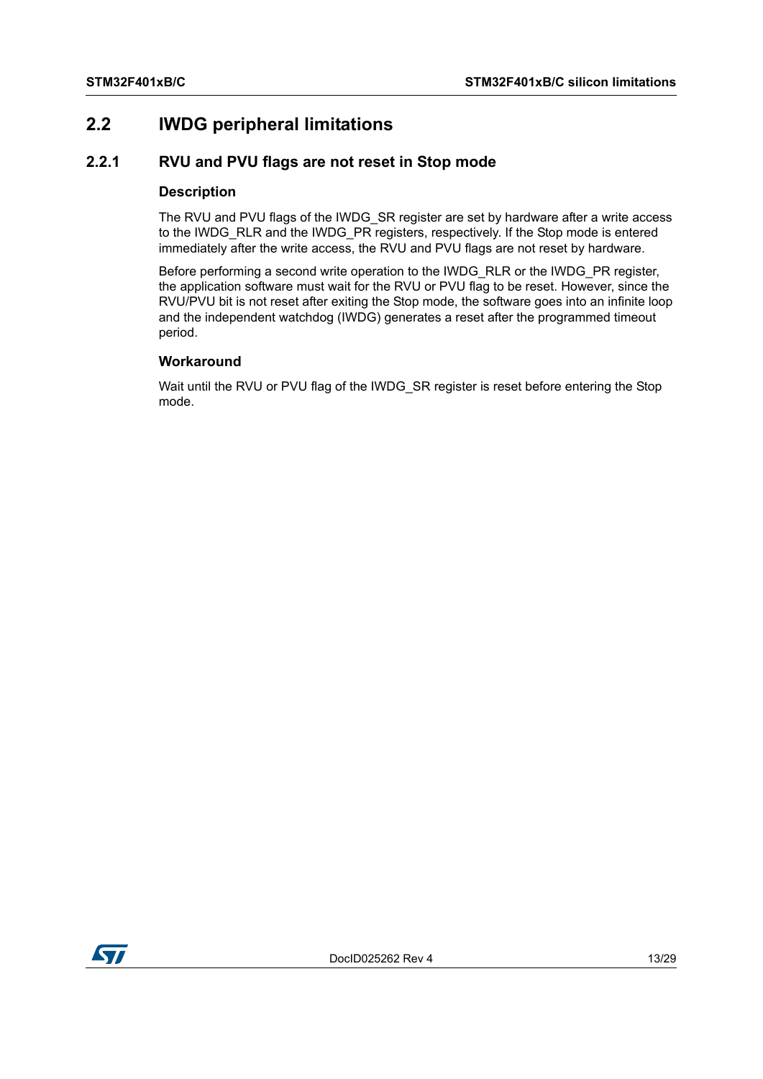# <span id="page-12-0"></span>**2.2 IWDG peripheral limitations**

# <span id="page-12-1"></span>**2.2.1 RVU and PVU flags are not reset in Stop mode**

#### **Description**

The RVU and PVU flags of the IWDG\_SR register are set by hardware after a write access to the IWDG\_RLR and the IWDG\_PR registers, respectively. If the Stop mode is entered immediately after the write access, the RVU and PVU flags are not reset by hardware.

Before performing a second write operation to the IWDG\_RLR or the IWDG\_PR register, the application software must wait for the RVU or PVU flag to be reset. However, since the RVU/PVU bit is not reset after exiting the Stop mode, the software goes into an infinite loop and the independent watchdog (IWDG) generates a reset after the programmed timeout period.

### **Workaround**

Wait until the RVU or PVU flag of the IWDG\_SR register is reset before entering the Stop mode.

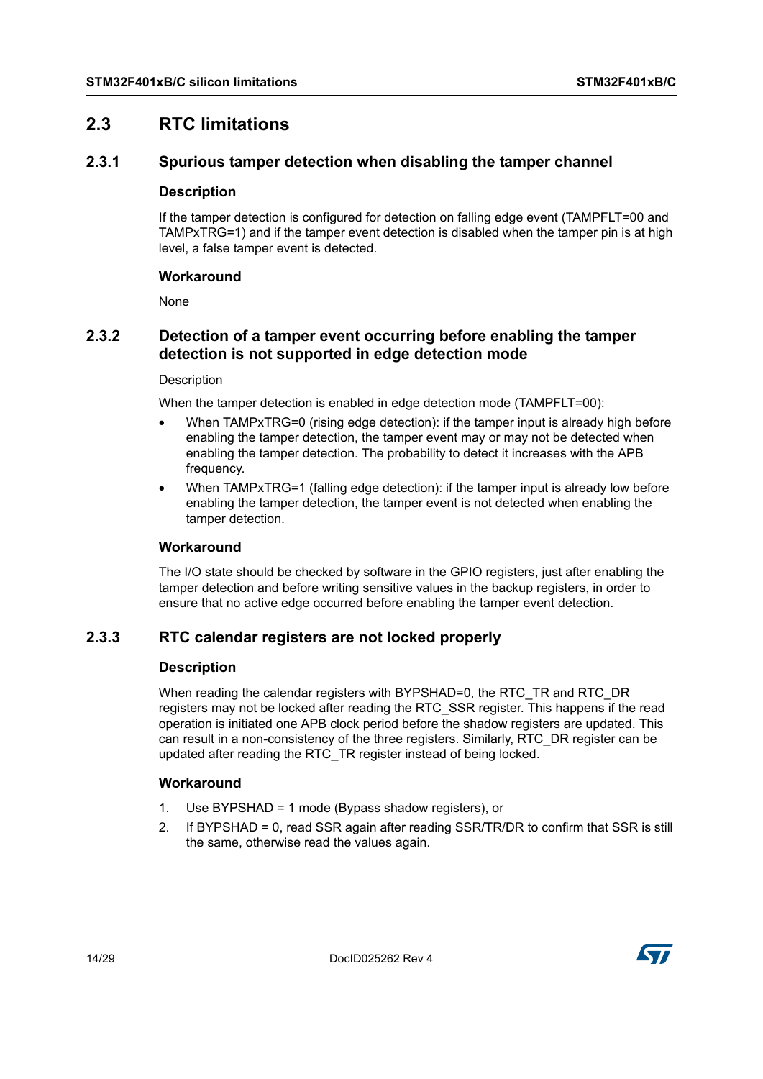# <span id="page-13-0"></span>**2.3 RTC limitations**

# <span id="page-13-1"></span>**2.3.1 Spurious tamper detection when disabling the tamper channel**

#### **Description**

If the tamper detection is configured for detection on falling edge event (TAMPFLT=00 and TAMPxTRG=1) and if the tamper event detection is disabled when the tamper pin is at high level, a false tamper event is detected.

#### **Workaround**

None

# <span id="page-13-2"></span>**2.3.2 Detection of a tamper event occurring before enabling the tamper detection is not supported in edge detection mode**

#### **Description**

When the tamper detection is enabled in edge detection mode (TAMPFLT=00):

- When TAMPxTRG=0 (rising edge detection): if the tamper input is already high before enabling the tamper detection, the tamper event may or may not be detected when enabling the tamper detection. The probability to detect it increases with the APB frequency.
- When TAMPxTRG=1 (falling edge detection): if the tamper input is already low before enabling the tamper detection, the tamper event is not detected when enabling the tamper detection.

### **Workaround**

The I/O state should be checked by software in the GPIO registers, just after enabling the tamper detection and before writing sensitive values in the backup registers, in order to ensure that no active edge occurred before enabling the tamper event detection.

# <span id="page-13-3"></span>**2.3.3 RTC calendar registers are not locked properly**

#### **Description**

When reading the calendar registers with BYPSHAD=0, the RTC\_TR and RTC\_DR registers may not be locked after reading the RTC\_SSR register. This happens if the read operation is initiated one APB clock period before the shadow registers are updated. This can result in a non-consistency of the three registers. Similarly, RTC\_DR register can be updated after reading the RTC\_TR register instead of being locked.

### **Workaround**

- 1. Use BYPSHAD = 1 mode (Bypass shadow registers), or
- 2. If BYPSHAD = 0, read SSR again after reading SSR/TR/DR to confirm that SSR is still the same, otherwise read the values again.

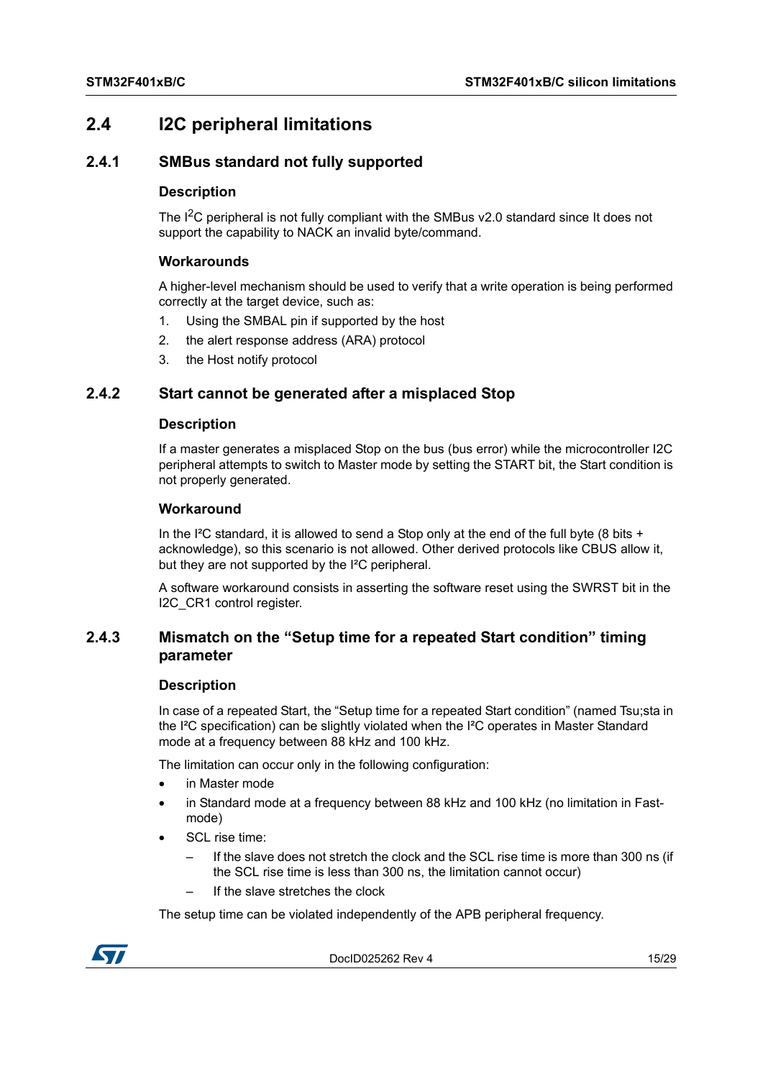# <span id="page-14-0"></span>**2.4 I2C peripheral limitations**

# <span id="page-14-1"></span>**2.4.1 SMBus standard not fully supported**

#### **Description**

The  $I^2C$  peripheral is not fully compliant with the SMBus v2.0 standard since It does not support the capability to NACK an invalid byte/command.

#### **Workarounds**

A higher-level mechanism should be used to verify that a write operation is being performed correctly at the target device, such as:

- 1. Using the SMBAL pin if supported by the host
- 2. the alert response address (ARA) protocol
- 3. the Host notify protocol

# <span id="page-14-2"></span>**2.4.2 Start cannot be generated after a misplaced Stop**

#### **Description**

If a master generates a misplaced Stop on the bus (bus error) while the microcontroller I2C peripheral attempts to switch to Master mode by setting the START bit, the Start condition is not properly generated.

#### **Workaround**

In the I<sup>2</sup>C standard, it is allowed to send a Stop only at the end of the full byte (8 bits  $+$ acknowledge), so this scenario is not allowed. Other derived protocols like CBUS allow it, but they are not supported by the I²C peripheral.

A software workaround consists in asserting the software reset using the SWRST bit in the I2C\_CR1 control register.

# <span id="page-14-3"></span>**2.4.3 Mismatch on the "Setup time for a repeated Start condition" timing parameter**

#### **Description**

In case of a repeated Start, the "Setup time for a repeated Start condition" (named Tsu;sta in the I²C specification) can be slightly violated when the I²C operates in Master Standard mode at a frequency between 88 kHz and 100 kHz.

The limitation can occur only in the following configuration:

- in Master mode
- in Standard mode at a frequency between 88 kHz and 100 kHz (no limitation in Fastmode)
- SCL rise time:
	- If the slave does not stretch the clock and the SCL rise time is more than 300 ns (if the SCL rise time is less than 300 ns, the limitation cannot occur)
	- If the slave stretches the clock

The setup time can be violated independently of the APB peripheral frequency.



DocID025262 Rev 4 15/[29](#page-28-0)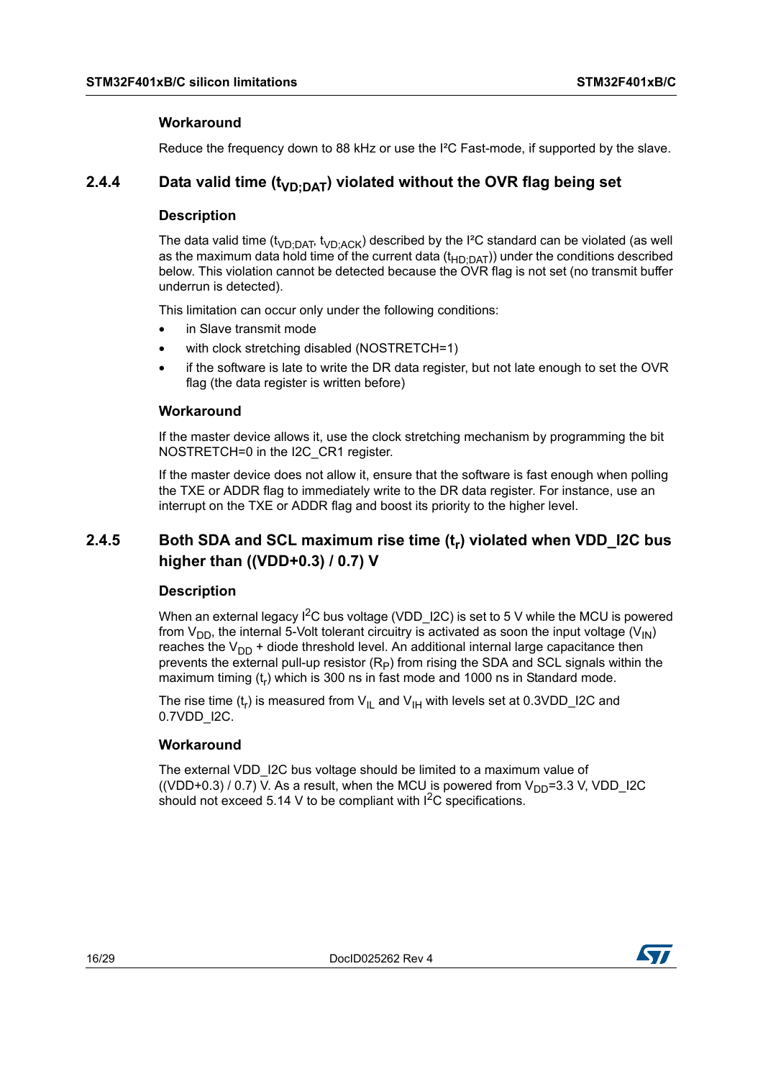#### **Workaround**

Reduce the frequency down to 88 kHz or use the I<sup>2</sup>C Fast-mode, if supported by the slave.

# <span id="page-15-0"></span>**2.4.4** Data valid time (t<sub>VD</sub>, DAT) violated without the OVR flag being set

#### **Description**

The data valid time ( $t_{VD;DATA}$ ,  $t_{VD;ACK}$ ) described by the I<sup>2</sup>C standard can be violated (as well as the maximum data hold time of the current data  $(t_{HD:DAT})$ ) under the conditions described below. This violation cannot be detected because the OVR flag is not set (no transmit buffer underrun is detected).

This limitation can occur only under the following conditions:

- in Slave transmit mode
- with clock stretching disabled (NOSTRETCH=1)
- if the software is late to write the DR data register, but not late enough to set the OVR flag (the data register is written before)

#### **Workaround**

If the master device allows it, use the clock stretching mechanism by programming the bit NOSTRETCH=0 in the I2C\_CR1 register.

If the master device does not allow it, ensure that the software is fast enough when polling the TXE or ADDR flag to immediately write to the DR data register. For instance, use an interrupt on the TXE or ADDR flag and boost its priority to the higher level.

# <span id="page-15-1"></span>**2.4.5 Both SDA and SCL maximum rise time (tr) violated when VDD\_I2C bus higher than ((VDD+0.3) / 0.7) V**

### **Description**

When an external legacy  $1^2C$  bus voltage (VDD 12C) is set to 5 V while the MCU is powered from  $V_{DD}$ , the internal 5-Volt tolerant circuitry is activated as soon the input voltage (V<sub>IN</sub>) reaches the  $V_{DD}$  + diode threshold level. An additional internal large capacitance then prevents the external pull-up resistor  $(R_P)$  from rising the SDA and SCL signals within the maximum timing  $(t_r)$  which is 300 ns in fast mode and 1000 ns in Standard mode.

The rise time  $(t_r)$  is measured from  $V_{II}$  and  $V_{IH}$  with levels set at 0.3VDD\_I2C and 0.7VDD\_I2C.

#### **Workaround**

The external VDD 12C bus voltage should be limited to a maximum value of ((VDD+0.3) / 0.7) V. As a result, when the MCU is powered from  $V_{DD}=3.3$  V, VDD I2C should not exceed 5.14 V to be compliant with  $1^2C$  specifications.

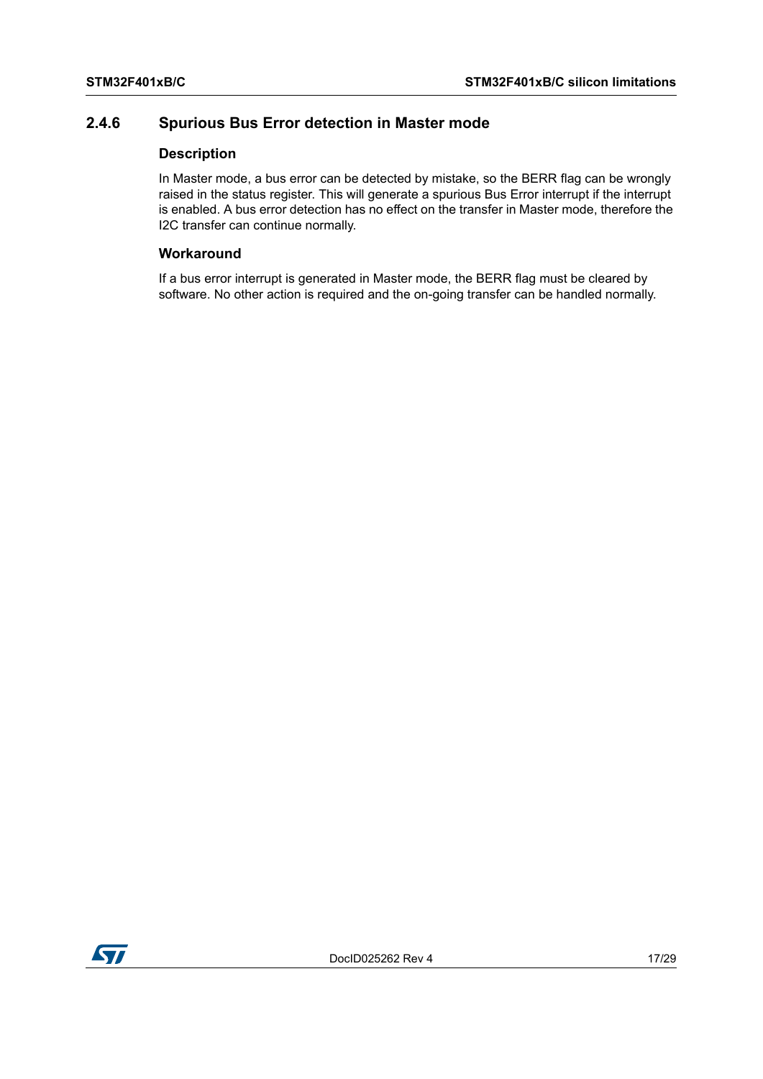# <span id="page-16-0"></span>**2.4.6 Spurious Bus Error detection in Master mode**

#### **Description**

In Master mode, a bus error can be detected by mistake, so the BERR flag can be wrongly raised in the status register. This will generate a spurious Bus Error interrupt if the interrupt is enabled. A bus error detection has no effect on the transfer in Master mode, therefore the I2C transfer can continue normally.

#### **Workaround**

If a bus error interrupt is generated in Master mode, the BERR flag must be cleared by software. No other action is required and the on-going transfer can be handled normally.

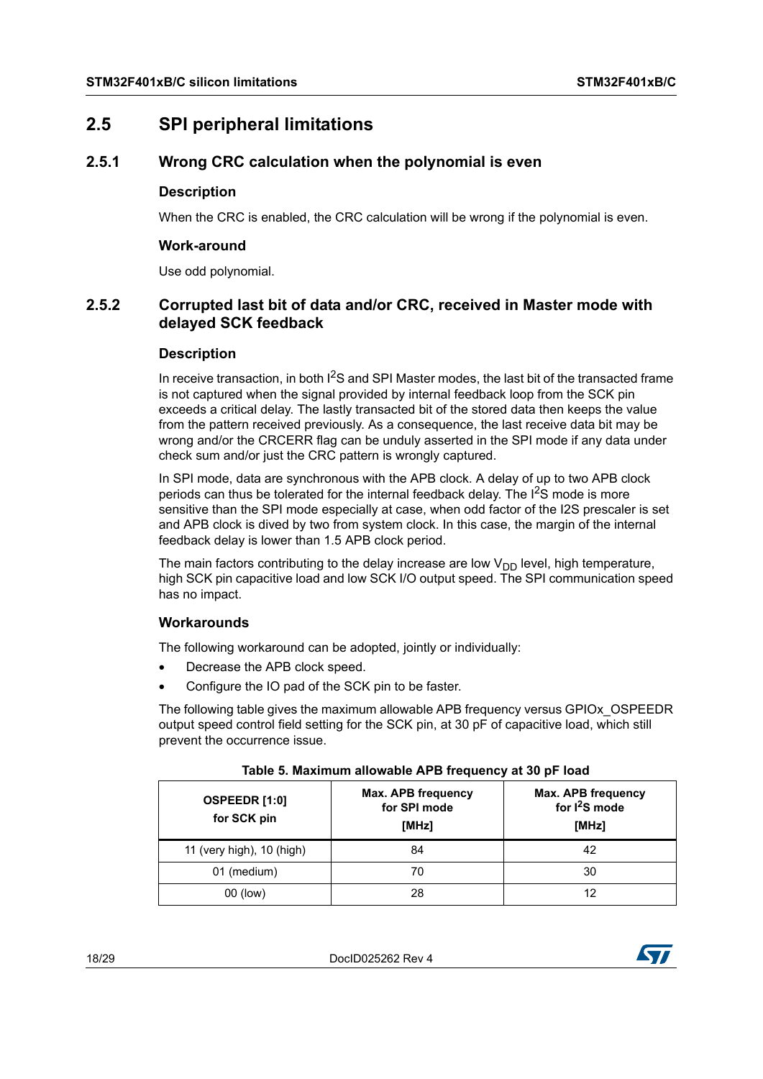# <span id="page-17-0"></span>**2.5 SPI peripheral limitations**

# <span id="page-17-1"></span>**2.5.1 Wrong CRC calculation when the polynomial is even**

#### **Description**

When the CRC is enabled, the CRC calculation will be wrong if the polynomial is even.

#### **Work-around**

Use odd polynomial.

# <span id="page-17-2"></span>**2.5.2 Corrupted last bit of data and/or CRC, received in Master mode with delayed SCK feedback**

#### **Description**

In receive transaction, in both  $1<sup>2</sup>S$  and SPI Master modes, the last bit of the transacted frame is not captured when the signal provided by internal feedback loop from the SCK pin exceeds a critical delay. The lastly transacted bit of the stored data then keeps the value from the pattern received previously. As a consequence, the last receive data bit may be wrong and/or the CRCERR flag can be unduly asserted in the SPI mode if any data under check sum and/or just the CRC pattern is wrongly captured.

In SPI mode, data are synchronous with the APB clock. A delay of up to two APB clock periods can thus be tolerated for the internal feedback delay. The  $I^2S$  mode is more sensitive than the SPI mode especially at case, when odd factor of the I2S prescaler is set and APB clock is dived by two from system clock. In this case, the margin of the internal feedback delay is lower than 1.5 APB clock period.

The main factors contributing to the delay increase are low  $V_{DD}$  level, high temperature, high SCK pin capacitive load and low SCK I/O output speed. The SPI communication speed has no impact.

### **Workarounds**

The following workaround can be adopted, jointly or individually:

- Decrease the APB clock speed.
- Configure the IO pad of the SCK pin to be faster.

The following table gives the maximum allowable APB frequency versus GPIOx\_OSPEEDR output speed control field setting for the SCK pin, at 30 pF of capacitive load, which still prevent the occurrence issue.

<span id="page-17-3"></span>

| OSPEEDR [1:0]<br>for SCK pin | Max. APB frequency<br>for SPI mode<br>[MHz] | Max. APB frequency<br>for $I^2S$ mode<br>[MHz] |
|------------------------------|---------------------------------------------|------------------------------------------------|
| 11 (very high), 10 (high)    | 84                                          | 42                                             |
| 01 (medium)                  | 70                                          | 30                                             |
| 00 (low)                     | 28                                          | 12                                             |

#### **Table 5. Maximum allowable APB frequency at 30 pF load**



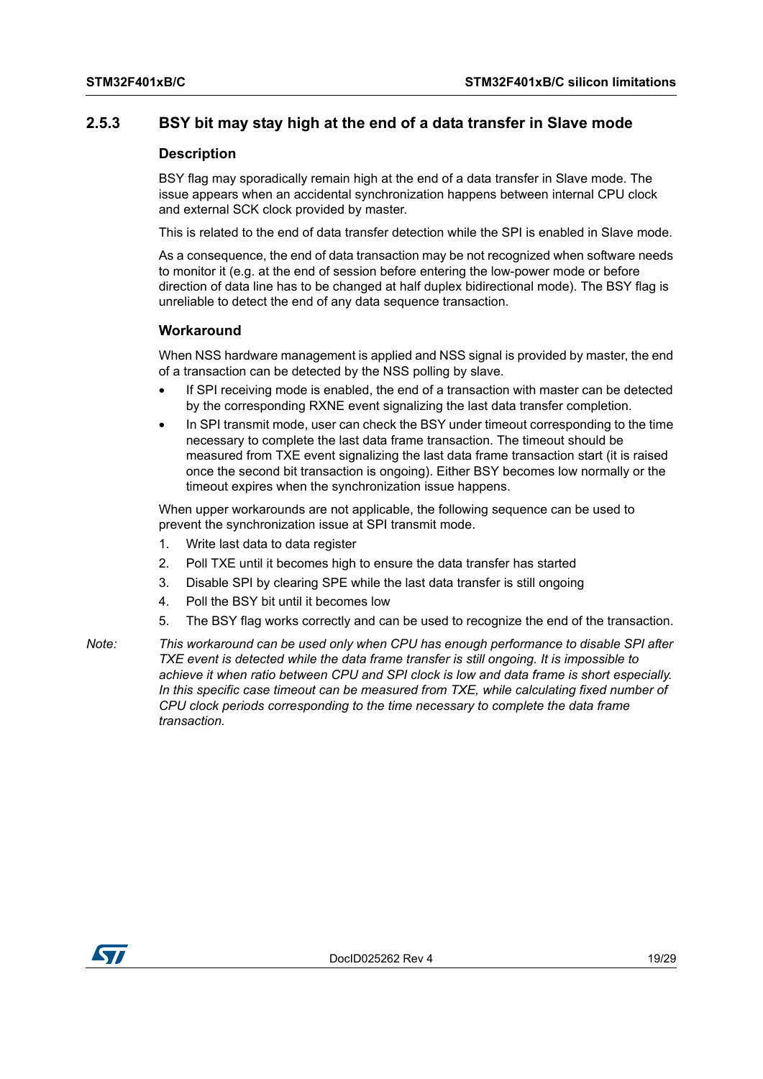### <span id="page-18-0"></span>**2.5.3 BSY bit may stay high at the end of a data transfer in Slave mode**

#### **Description**

BSY flag may sporadically remain high at the end of a data transfer in Slave mode. The issue appears when an accidental synchronization happens between internal CPU clock and external SCK clock provided by master.

This is related to the end of data transfer detection while the SPI is enabled in Slave mode.

As a consequence, the end of data transaction may be not recognized when software needs to monitor it (e.g. at the end of session before entering the low-power mode or before direction of data line has to be changed at half duplex bidirectional mode). The BSY flag is unreliable to detect the end of any data sequence transaction.

#### **Workaround**

When NSS hardware management is applied and NSS signal is provided by master, the end of a transaction can be detected by the NSS polling by slave.

- If SPI receiving mode is enabled, the end of a transaction with master can be detected by the corresponding RXNE event signalizing the last data transfer completion.
- In SPI transmit mode, user can check the BSY under timeout corresponding to the time necessary to complete the last data frame transaction. The timeout should be measured from TXE event signalizing the last data frame transaction start (it is raised once the second bit transaction is ongoing). Either BSY becomes low normally or the timeout expires when the synchronization issue happens.

When upper workarounds are not applicable, the following sequence can be used to prevent the synchronization issue at SPI transmit mode.

- 1. Write last data to data register
- 2. Poll TXE until it becomes high to ensure the data transfer has started
- 3. Disable SPI by clearing SPE while the last data transfer is still ongoing
- 4. Poll the BSY bit until it becomes low
- 5. The BSY flag works correctly and can be used to recognize the end of the transaction.

*Note: This workaround can be used only when CPU has enough performance to disable SPI after TXE event is detected while the data frame transfer is still ongoing. It is impossible to achieve it when ratio between CPU and SPI clock is low and data frame is short especially. In this specific case timeout can be measured from TXE, while calculating fixed number of CPU clock periods corresponding to the time necessary to complete the data frame transaction.*

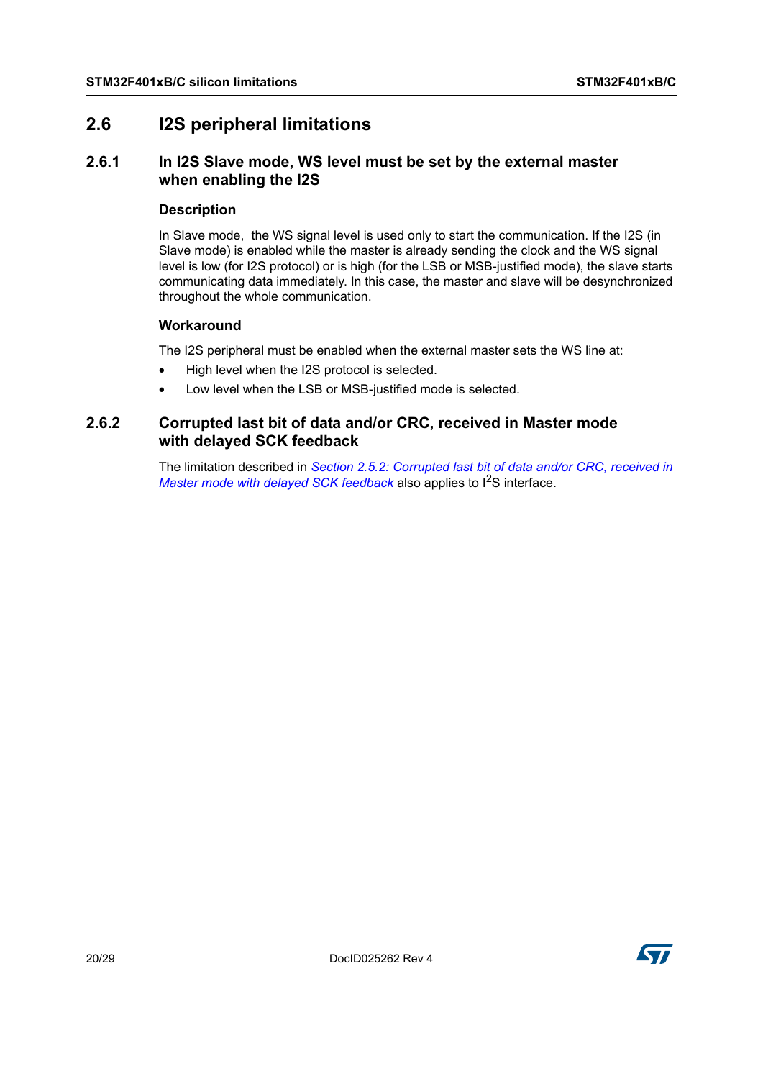# <span id="page-19-0"></span>**2.6 I2S peripheral limitations**

# <span id="page-19-1"></span>**2.6.1 In I2S Slave mode, WS level must be set by the external master when enabling the I2S**

### **Description**

In Slave mode, the WS signal level is used only to start the communication. If the I2S (in Slave mode) is enabled while the master is already sending the clock and the WS signal level is low (for I2S protocol) or is high (for the LSB or MSB-justified mode), the slave starts communicating data immediately. In this case, the master and slave will be desynchronized throughout the whole communication.

### **Workaround**

The I2S peripheral must be enabled when the external master sets the WS line at:

- High level when the I2S protocol is selected.
- Low level when the LSB or MSB-justified mode is selected.

# <span id="page-19-2"></span>**2.6.2 Corrupted last bit of data and/or CRC, received in Master mode with delayed SCK feedback**

The limitation described in *[Section 2.5.2: Corrupted last bit of data and/or CRC, received in](#page-17-2)  [Master mode with delayed SCK feedback](#page-17-2)* also applies to  $1^2$ S interface.

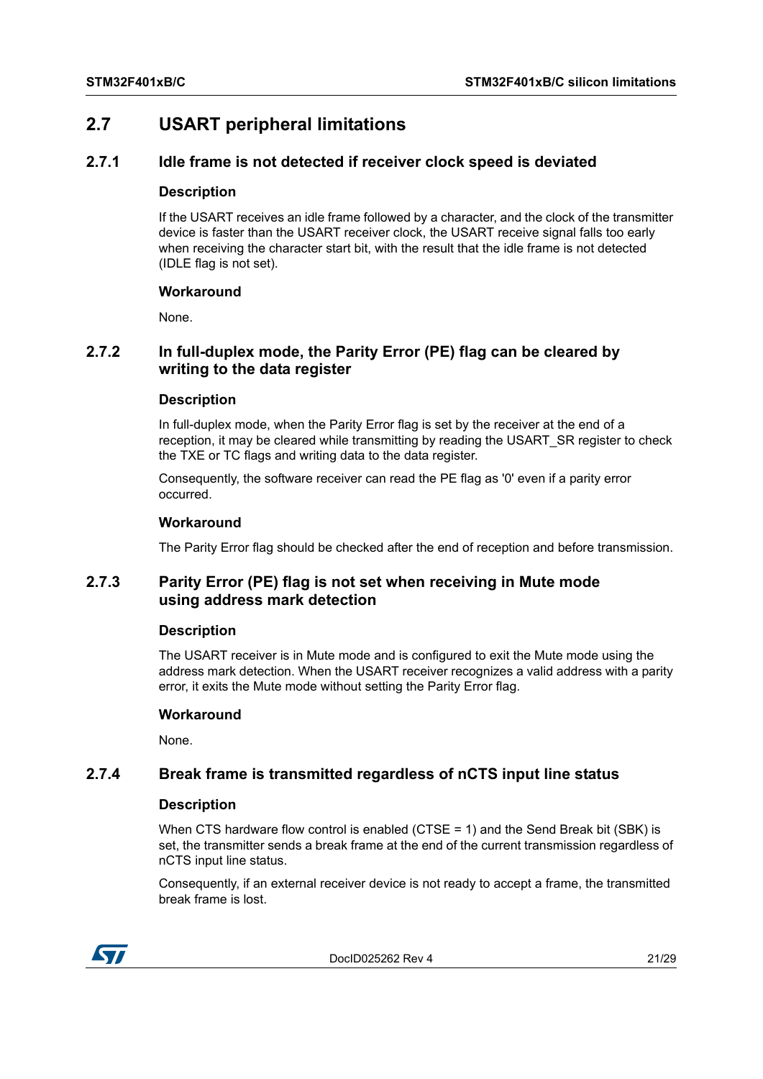# <span id="page-20-0"></span>**2.7 USART peripheral limitations**

# <span id="page-20-1"></span>**2.7.1 Idle frame is not detected if receiver clock speed is deviated**

#### **Description**

If the USART receives an idle frame followed by a character, and the clock of the transmitter device is faster than the USART receiver clock, the USART receive signal falls too early when receiving the character start bit, with the result that the idle frame is not detected (IDLE flag is not set).

#### **Workaround**

None.

# <span id="page-20-2"></span>**2.7.2 In full-duplex mode, the Parity Error (PE) flag can be cleared by writing to the data register**

#### **Description**

In full-duplex mode, when the Parity Error flag is set by the receiver at the end of a reception, it may be cleared while transmitting by reading the USART\_SR register to check the TXE or TC flags and writing data to the data register.

Consequently, the software receiver can read the PE flag as '0' even if a parity error occurred.

#### **Workaround**

The Parity Error flag should be checked after the end of reception and before transmission.

# <span id="page-20-3"></span>**2.7.3 Parity Error (PE) flag is not set when receiving in Mute mode using address mark detection**

#### **Description**

The USART receiver is in Mute mode and is configured to exit the Mute mode using the address mark detection. When the USART receiver recognizes a valid address with a parity error, it exits the Mute mode without setting the Parity Error flag.

#### **Workaround**

None.

# <span id="page-20-4"></span>**2.7.4 Break frame is transmitted regardless of nCTS input line status**

#### **Description**

When CTS hardware flow control is enabled (CTSE = 1) and the Send Break bit (SBK) is set, the transmitter sends a break frame at the end of the current transmission regardless of nCTS input line status.

Consequently, if an external receiver device is not ready to accept a frame, the transmitted break frame is lost.



DocID025262 Rev 4 21/[29](#page-28-0)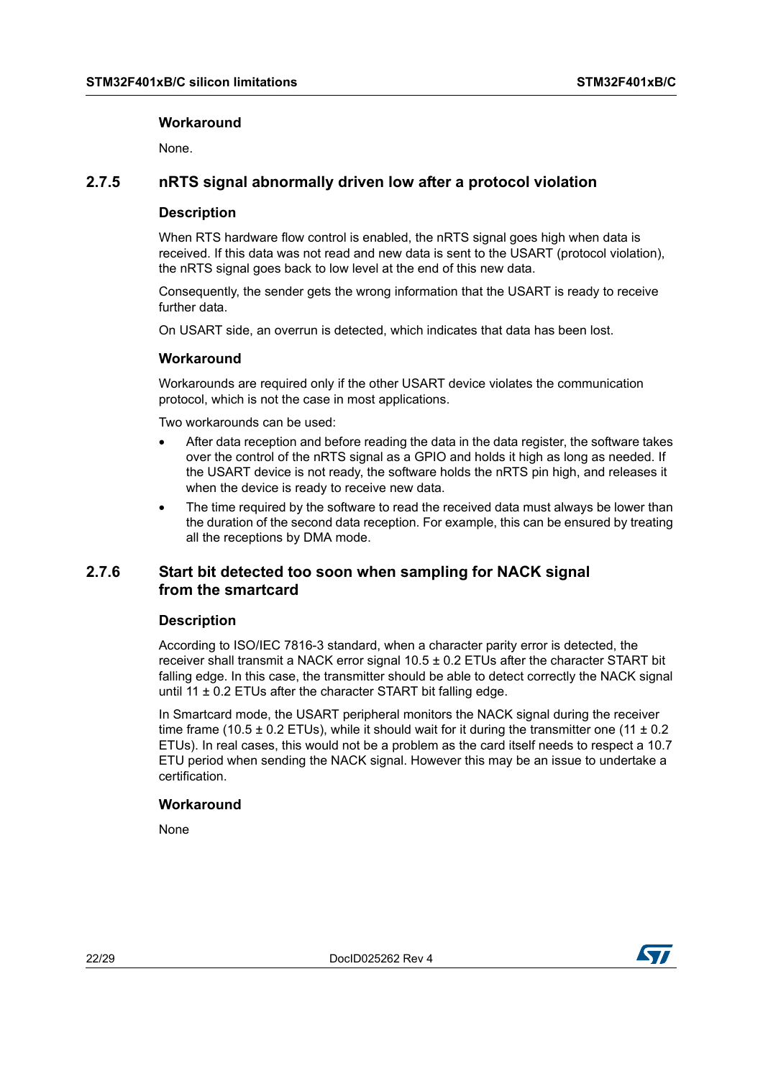#### **Workaround**

None.

### <span id="page-21-0"></span>**2.7.5 nRTS signal abnormally driven low after a protocol violation**

#### **Description**

When RTS hardware flow control is enabled, the nRTS signal goes high when data is received. If this data was not read and new data is sent to the USART (protocol violation), the nRTS signal goes back to low level at the end of this new data.

Consequently, the sender gets the wrong information that the USART is ready to receive further data.

On USART side, an overrun is detected, which indicates that data has been lost.

#### **Workaround**

Workarounds are required only if the other USART device violates the communication protocol, which is not the case in most applications.

Two workarounds can be used:

- After data reception and before reading the data in the data register, the software takes over the control of the nRTS signal as a GPIO and holds it high as long as needed. If the USART device is not ready, the software holds the nRTS pin high, and releases it when the device is ready to receive new data.
- The time required by the software to read the received data must always be lower than the duration of the second data reception. For example, this can be ensured by treating all the receptions by DMA mode.

### <span id="page-21-1"></span>**2.7.6 Start bit detected too soon when sampling for NACK signal from the smartcard**

#### **Description**

According to ISO/IEC 7816-3 standard, when a character parity error is detected, the receiver shall transmit a NACK error signal  $10.5 \pm 0.2$  ETUs after the character START bit falling edge. In this case, the transmitter should be able to detect correctly the NACK signal until 11  $\pm$  0.2 ETUs after the character START bit falling edge.

In Smartcard mode, the USART peripheral monitors the NACK signal during the receiver time frame (10.5  $\pm$  0.2 ETUs), while it should wait for it during the transmitter one (11  $\pm$  0.2 ETUs). In real cases, this would not be a problem as the card itself needs to respect a 10.7 ETU period when sending the NACK signal. However this may be an issue to undertake a certification.

#### **Workaround**

None

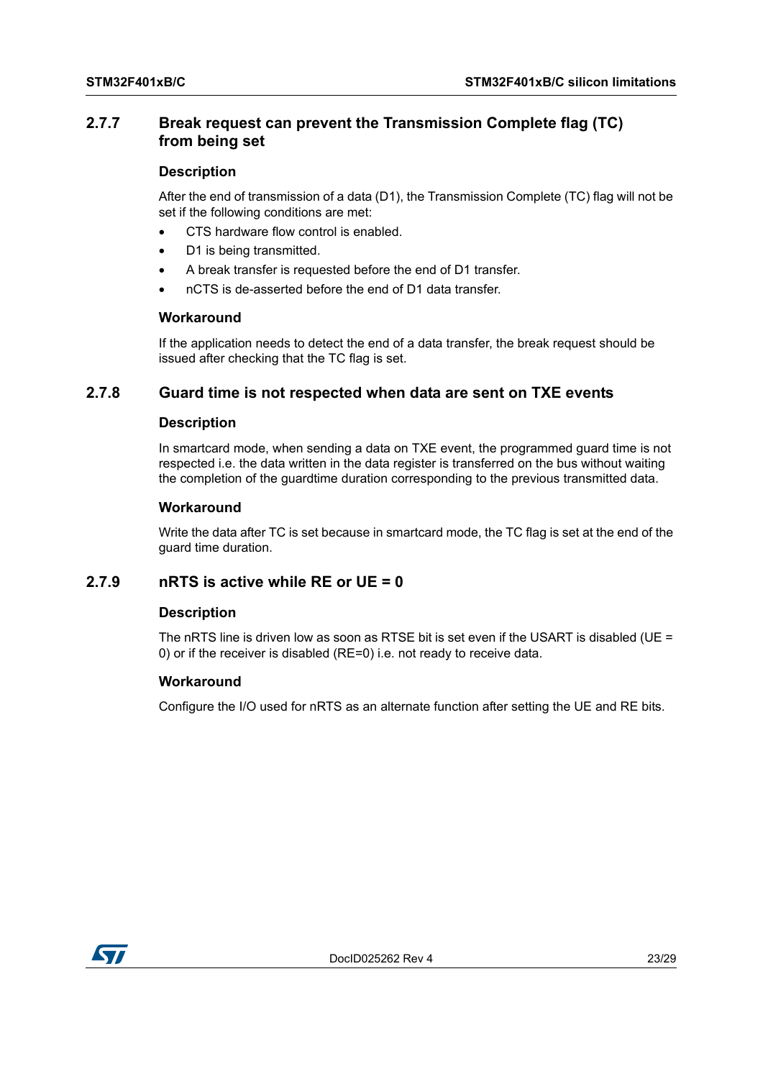# <span id="page-22-0"></span>**2.7.7 Break request can prevent the Transmission Complete flag (TC) from being set**

#### **Description**

After the end of transmission of a data (D1), the Transmission Complete (TC) flag will not be set if the following conditions are met:

- CTS hardware flow control is enabled.
- D1 is being transmitted.
- A break transfer is requested before the end of D1 transfer.
- nCTS is de-asserted before the end of D1 data transfer.

#### **Workaround**

If the application needs to detect the end of a data transfer, the break request should be issued after checking that the TC flag is set.

### <span id="page-22-1"></span>**2.7.8 Guard time is not respected when data are sent on TXE events**

#### **Description**

In smartcard mode, when sending a data on TXE event, the programmed guard time is not respected i.e. the data written in the data register is transferred on the bus without waiting the completion of the guardtime duration corresponding to the previous transmitted data.

#### **Workaround**

Write the data after TC is set because in smartcard mode, the TC flag is set at the end of the guard time duration.

# <span id="page-22-2"></span>**2.7.9 nRTS is active while RE or UE = 0**

#### **Description**

The nRTS line is driven low as soon as RTSE bit is set even if the USART is disabled (UE = 0) or if the receiver is disabled (RE=0) i.e. not ready to receive data.

### **Workaround**

Configure the I/O used for nRTS as an alternate function after setting the UE and RE bits.

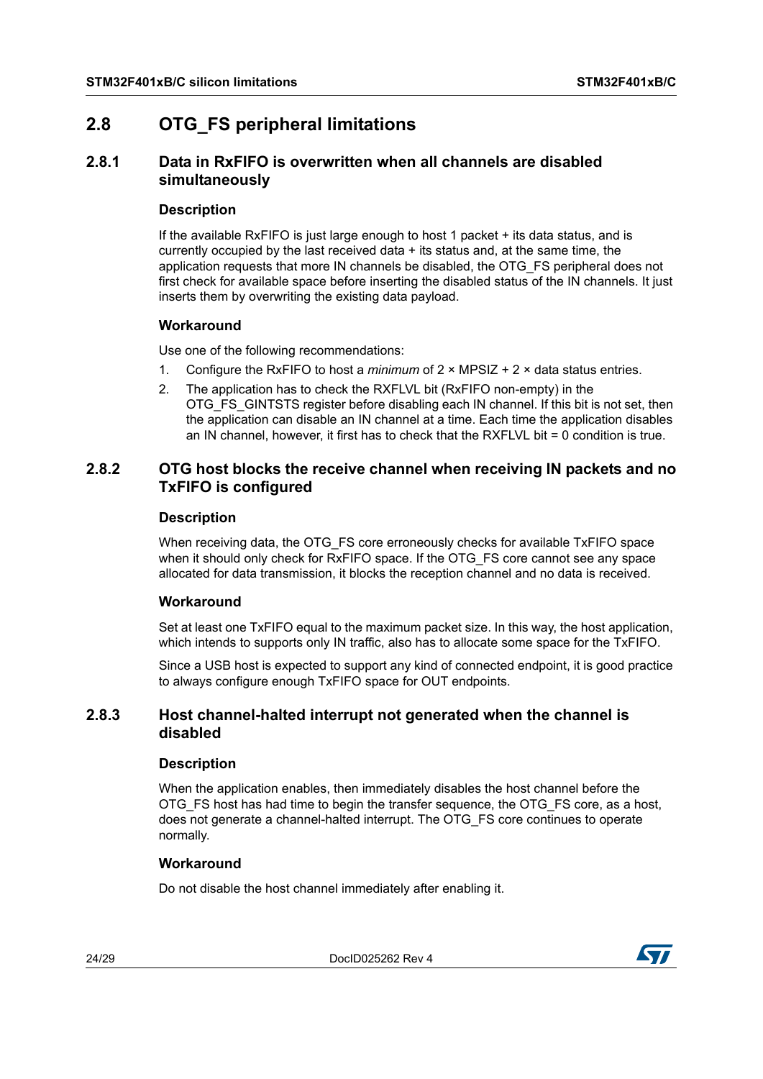# <span id="page-23-0"></span>**2.8 OTG\_FS peripheral limitations**

# <span id="page-23-1"></span>**2.8.1 Data in RxFIFO is overwritten when all channels are disabled simultaneously**

#### **Description**

If the available RxFIFO is just large enough to host 1 packet + its data status, and is currently occupied by the last received data + its status and, at the same time, the application requests that more IN channels be disabled, the OTG\_FS peripheral does not first check for available space before inserting the disabled status of the IN channels. It just inserts them by overwriting the existing data payload.

#### **Workaround**

Use one of the following recommendations:

- 1. Configure the RxFIFO to host a *minimum* of 2 × MPSIZ + 2 × data status entries.
- 2. The application has to check the RXFLVL bit (RxFIFO non-empty) in the OTG\_FS\_GINTSTS register before disabling each IN channel. If this bit is not set, then the application can disable an IN channel at a time. Each time the application disables an IN channel, however, it first has to check that the RXFLVL bit = 0 condition is true.

# <span id="page-23-2"></span>**2.8.2 OTG host blocks the receive channel when receiving IN packets and no TxFIFO is configured**

#### **Description**

When receiving data, the OTG\_FS core erroneously checks for available TxFIFO space when it should only check for RxFIFO space. If the OTG\_FS core cannot see any space allocated for data transmission, it blocks the reception channel and no data is received.

### **Workaround**

Set at least one TxFIFO equal to the maximum packet size. In this way, the host application, which intends to supports only IN traffic, also has to allocate some space for the TxFIFO.

Since a USB host is expected to support any kind of connected endpoint, it is good practice to always configure enough TxFIFO space for OUT endpoints.

# <span id="page-23-3"></span>**2.8.3 Host channel-halted interrupt not generated when the channel is disabled**

#### **Description**

When the application enables, then immediately disables the host channel before the OTG\_FS host has had time to begin the transfer sequence, the OTG\_FS core, as a host, does not generate a channel-halted interrupt. The OTG\_FS core continues to operate normally.

### **Workaround**

Do not disable the host channel immediately after enabling it.

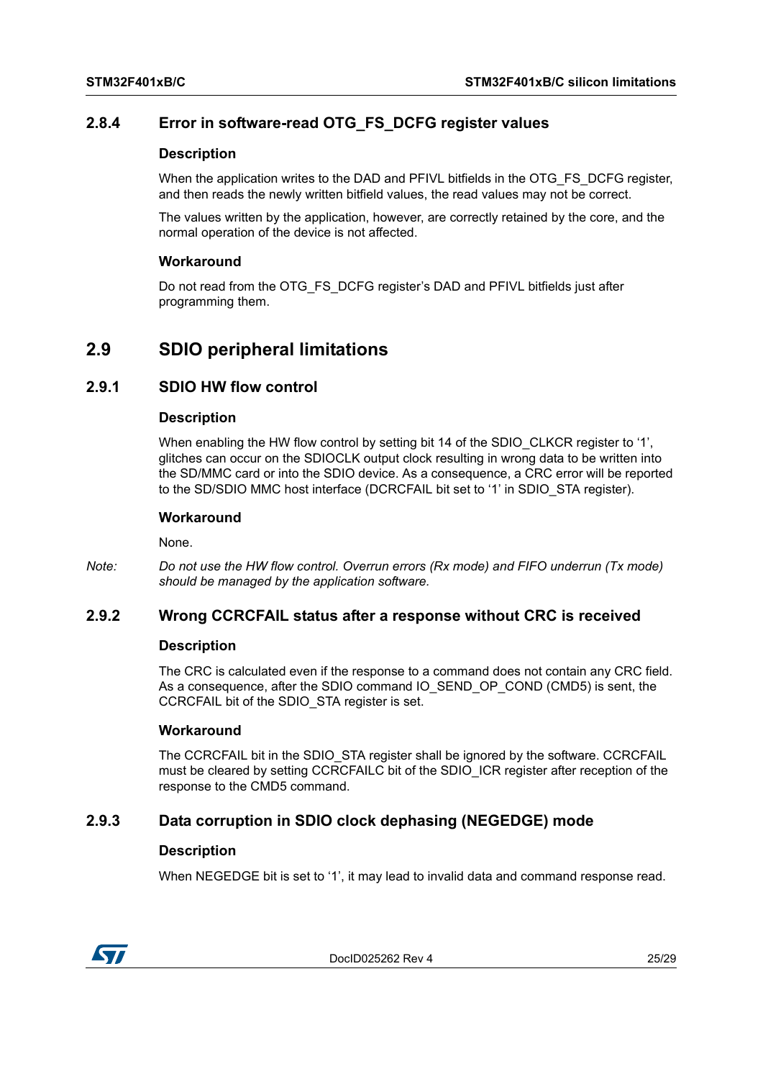# <span id="page-24-0"></span>**2.8.4 Error in software-read OTG\_FS\_DCFG register values**

# **Description**

When the application writes to the DAD and PFIVL bitfields in the OTG\_FS\_DCFG register, and then reads the newly written bitfield values, the read values may not be correct.

The values written by the application, however, are correctly retained by the core, and the normal operation of the device is not affected.

# **Workaround**

Do not read from the OTG\_FS\_DCFG register's DAD and PFIVL bitfields just after programming them.

# <span id="page-24-1"></span>**2.9 SDIO peripheral limitations**

# <span id="page-24-2"></span>**2.9.1 SDIO HW flow control**

# **Description**

When enabling the HW flow control by setting bit 14 of the SDIO\_CLKCR register to '1', glitches can occur on the SDIOCLK output clock resulting in wrong data to be written into the SD/MMC card or into the SDIO device. As a consequence, a CRC error will be reported to the SD/SDIO MMC host interface (DCRCFAIL bit set to '1' in SDIO\_STA register).

#### **Workaround**

None.

*Note: Do not use the HW flow control. Overrun errors (Rx mode) and FIFO underrun (Tx mode) should be managed by the application software.*

# <span id="page-24-3"></span>**2.9.2 Wrong CCRCFAIL status after a response without CRC is received**

# **Description**

The CRC is calculated even if the response to a command does not contain any CRC field. As a consequence, after the SDIO command IO\_SEND\_OP\_COND (CMD5) is sent, the CCRCFAIL bit of the SDIO\_STA register is set.

# **Workaround**

The CCRCFAIL bit in the SDIO STA register shall be ignored by the software. CCRCFAIL must be cleared by setting CCRCFAILC bit of the SDIO\_ICR register after reception of the response to the CMD5 command.

# <span id="page-24-4"></span>**2.9.3 Data corruption in SDIO clock dephasing (NEGEDGE) mode**

# **Description**

When NEGEDGE bit is set to '1', it may lead to invalid data and command response read.



DocID025262 Rev 4 25/[29](#page-28-0)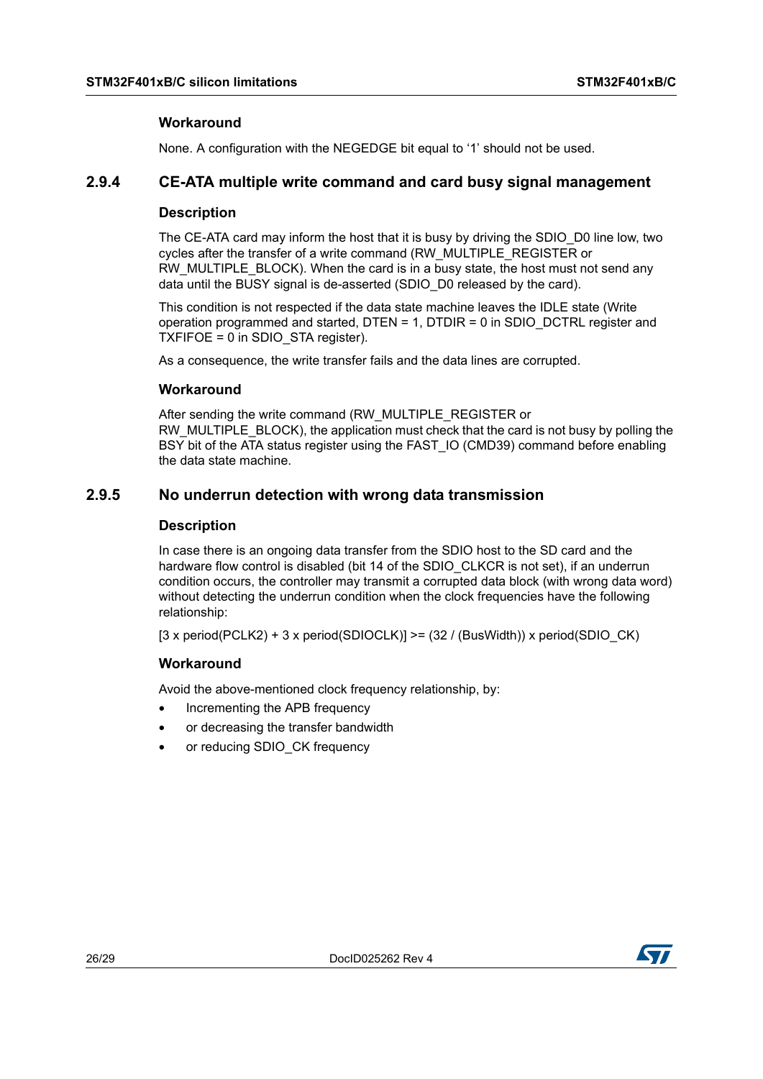#### **Workaround**

None. A configuration with the NEGEDGE bit equal to '1' should not be used.

#### <span id="page-25-0"></span>**2.9.4 CE-ATA multiple write command and card busy signal management**

#### **Description**

The CE-ATA card may inform the host that it is busy by driving the SDIO\_D0 line low, two cycles after the transfer of a write command (RW\_MULTIPLE\_REGISTER or RW\_MULTIPLE\_BLOCK). When the card is in a busy state, the host must not send any data until the BUSY signal is de-asserted (SDIO\_D0 released by the card).

This condition is not respected if the data state machine leaves the IDLE state (Write operation programmed and started, DTEN = 1, DTDIR = 0 in SDIO\_DCTRL register and TXFIFOE = 0 in SDIO\_STA register).

As a consequence, the write transfer fails and the data lines are corrupted.

#### **Workaround**

After sending the write command (RW\_MULTIPLE\_REGISTER or RW\_MULTIPLE\_BLOCK), the application must check that the card is not busy by polling the BSY bit of the ATA status register using the FAST IO (CMD39) command before enabling the data state machine.

### <span id="page-25-1"></span>**2.9.5 No underrun detection with wrong data transmission**

#### **Description**

In case there is an ongoing data transfer from the SDIO host to the SD card and the hardware flow control is disabled (bit 14 of the SDIO\_CLKCR is not set), if an underrun condition occurs, the controller may transmit a corrupted data block (with wrong data word) without detecting the underrun condition when the clock frequencies have the following relationship:

[3 x period(PCLK2) + 3 x period(SDIOCLK)] >= (32 / (BusWidth)) x period(SDIO\_CK)

#### **Workaround**

Avoid the above-mentioned clock frequency relationship, by:

- Incrementing the APB frequency
- or decreasing the transfer bandwidth
- or reducing SDIO\_CK frequency

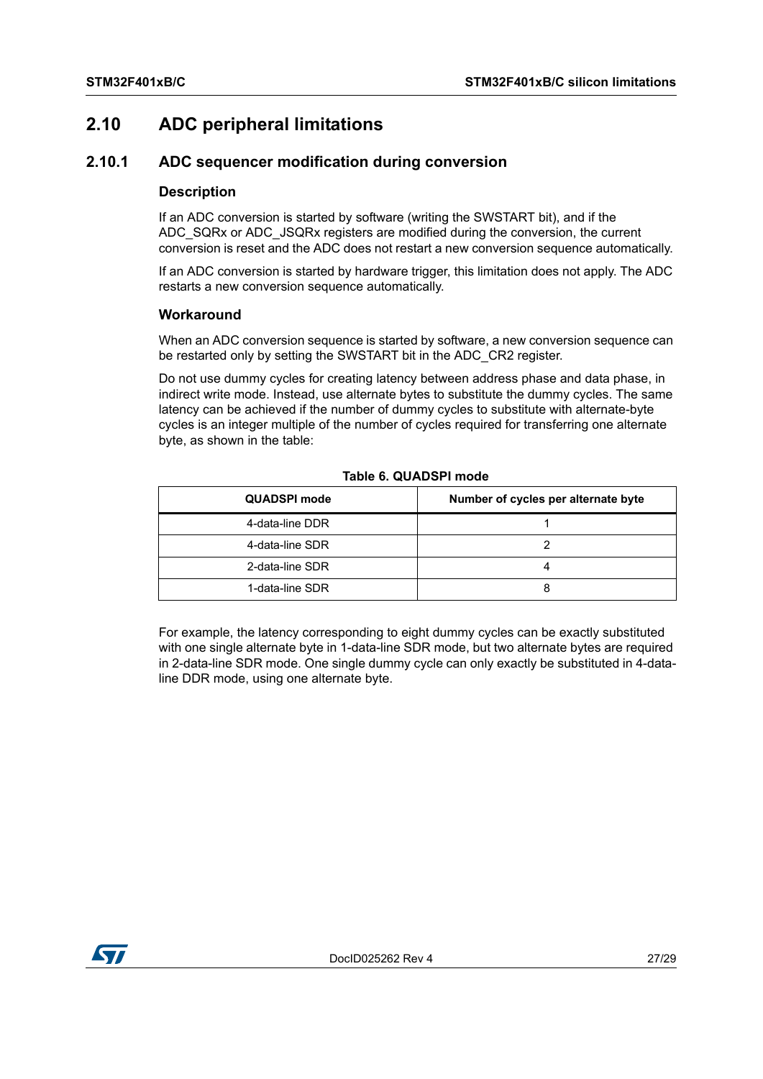# <span id="page-26-0"></span>**2.10 ADC peripheral limitations**

# <span id="page-26-1"></span>**2.10.1 ADC sequencer modification during conversion**

#### **Description**

If an ADC conversion is started by software (writing the SWSTART bit), and if the ADC\_SQRx or ADC\_JSQRx registers are modified during the conversion, the current conversion is reset and the ADC does not restart a new conversion sequence automatically.

If an ADC conversion is started by hardware trigger, this limitation does not apply. The ADC restarts a new conversion sequence automatically.

#### **Workaround**

When an ADC conversion sequence is started by software, a new conversion sequence can be restarted only by setting the SWSTART bit in the ADC\_CR2 register.

Do not use dummy cycles for creating latency between address phase and data phase, in indirect write mode. Instead, use alternate bytes to substitute the dummy cycles. The same latency can be achieved if the number of dummy cycles to substitute with alternate-byte cycles is an integer multiple of the number of cycles required for transferring one alternate byte, as shown in the table:

<span id="page-26-2"></span>

| QUADSPI mode    | Number of cycles per alternate byte |
|-----------------|-------------------------------------|
| 4-data-line DDR |                                     |
| 4-data-line SDR |                                     |
| 2-data-line SDR |                                     |
| 1-data-line SDR |                                     |

#### **Table 6. QUADSPI mode**

For example, the latency corresponding to eight dummy cycles can be exactly substituted with one single alternate byte in 1-data-line SDR mode, but two alternate bytes are required in 2-data-line SDR mode. One single dummy cycle can only exactly be substituted in 4-dataline DDR mode, using one alternate byte.

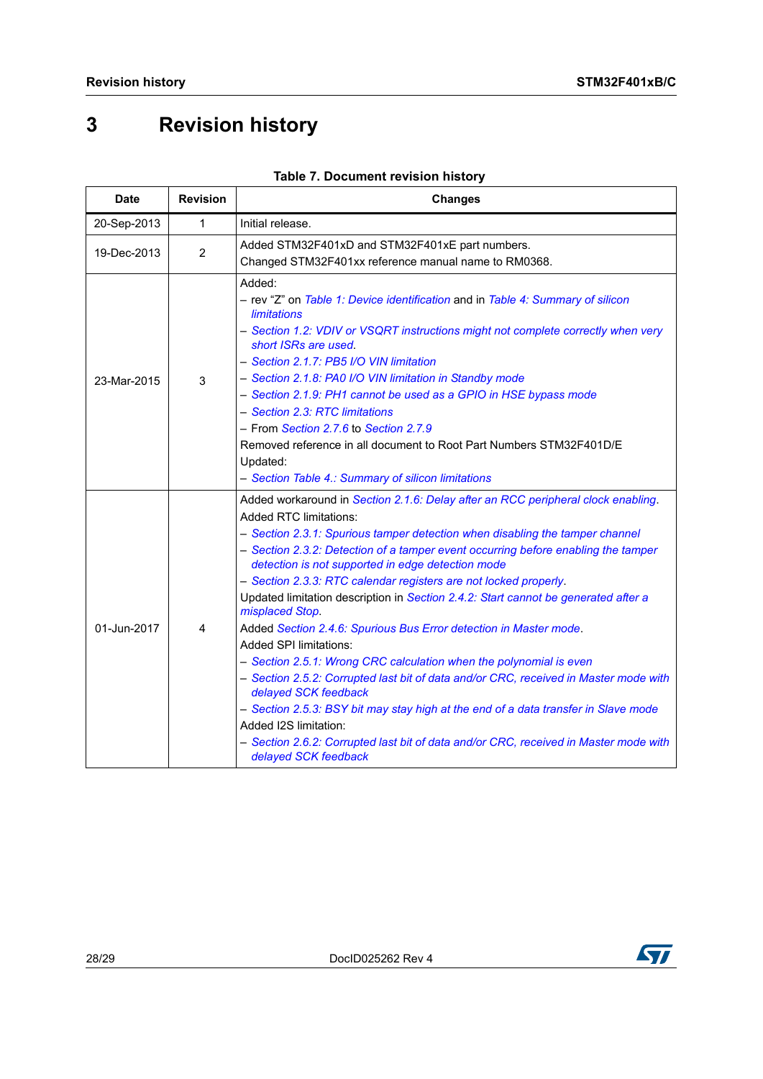# <span id="page-27-0"></span>**3 Revision history**

<span id="page-27-1"></span>

| Date        | <b>Revision</b> | <b>Changes</b>                                                                                                                                                                                                                                                                                                                                                                                                                                                                                                                                                                                                                                                                                                                                                                                                                                                                                                                                                                                                                               |
|-------------|-----------------|----------------------------------------------------------------------------------------------------------------------------------------------------------------------------------------------------------------------------------------------------------------------------------------------------------------------------------------------------------------------------------------------------------------------------------------------------------------------------------------------------------------------------------------------------------------------------------------------------------------------------------------------------------------------------------------------------------------------------------------------------------------------------------------------------------------------------------------------------------------------------------------------------------------------------------------------------------------------------------------------------------------------------------------------|
| 20-Sep-2013 | $\mathbf{1}$    | Initial release.                                                                                                                                                                                                                                                                                                                                                                                                                                                                                                                                                                                                                                                                                                                                                                                                                                                                                                                                                                                                                             |
| 19-Dec-2013 | $\overline{2}$  | Added STM32F401xD and STM32F401xE part numbers.<br>Changed STM32F401xx reference manual name to RM0368.                                                                                                                                                                                                                                                                                                                                                                                                                                                                                                                                                                                                                                                                                                                                                                                                                                                                                                                                      |
| 23-Mar-2015 | 3               | Added:<br>- rev "Z" on Table 1: Device identification and in Table 4: Summary of silicon<br><b>limitations</b><br>- Section 1.2: VDIV or VSQRT instructions might not complete correctly when very<br>short ISRs are used.<br>- Section 2.1.7: PB5 I/O VIN limitation<br>- Section 2.1.8: PA0 I/O VIN limitation in Standby mode<br>- Section 2.1.9: PH1 cannot be used as a GPIO in HSE bypass mode<br>- Section 2.3: RTC limitations<br>- From Section 2.7.6 to Section 2.7.9<br>Removed reference in all document to Root Part Numbers STM32F401D/E<br>Updated:<br>- Section Table 4.: Summary of silicon limitations                                                                                                                                                                                                                                                                                                                                                                                                                     |
| 01-Jun-2017 | 4               | Added workaround in Section 2.1.6: Delay after an RCC peripheral clock enabling.<br><b>Added RTC limitations:</b><br>- Section 2.3.1: Spurious tamper detection when disabling the tamper channel<br>- Section 2.3.2: Detection of a tamper event occurring before enabling the tamper<br>detection is not supported in edge detection mode<br>- Section 2.3.3: RTC calendar registers are not locked properly.<br>Updated limitation description in Section 2.4.2: Start cannot be generated after a<br>misplaced Stop.<br>Added Section 2.4.6: Spurious Bus Error detection in Master mode.<br>Added SPI limitations:<br>- Section 2.5.1: Wrong CRC calculation when the polynomial is even<br>- Section 2.5.2: Corrupted last bit of data and/or CRC, received in Master mode with<br>delayed SCK feedback<br>- Section 2.5.3: BSY bit may stay high at the end of a data transfer in Slave mode<br>Added I2S limitation:<br>- Section 2.6.2: Corrupted last bit of data and/or CRC, received in Master mode with<br>delayed SCK feedback |

#### **Table 7. Document revision history**